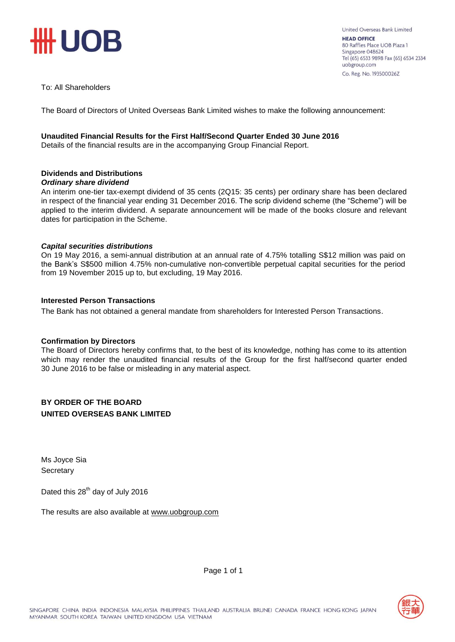

### To: All Shareholders

The Board of Directors of United Overseas Bank Limited wishes to make the following announcement:

### **Unaudited Financial Results for the First Half/Second Quarter Ended 30 June 2016**

Details of the financial results are in the accompanying Group Financial Report.

# **Dividends and Distributions**

### *Ordinary share dividend*

An interim one-tier tax-exempt dividend of 35 cents (2Q15: 35 cents) per ordinary share has been declared in respect of the financial year ending 31 December 2016. The scrip dividend scheme (the "Scheme") will be applied to the interim dividend. A separate announcement will be made of the books closure and relevant dates for participation in the Scheme.

### *Capital securities distributions*

On 19 May 2016, a semi-annual distribution at an annual rate of 4.75% totalling S\$12 million was paid on the Bank's S\$500 million 4.75% non-cumulative non-convertible perpetual capital securities for the period from 19 November 2015 up to, but excluding, 19 May 2016.

### **Interested Person Transactions**

The Bank has not obtained a general mandate from shareholders for Interested Person Transactions.

### **Confirmation by Directors**

The Board of Directors hereby confirms that, to the best of its knowledge, nothing has come to its attention which may render the unaudited financial results of the Group for the first half/second quarter ended 30 June 2016 to be false or misleading in any material aspect.

### **BY ORDER OF THE BOARD UNITED OVERSEAS BANK LIMITED**

Ms Joyce Sia **Secretary** 

Dated this 28<sup>th</sup> day of July 2016

The results are also available at www.uob[group.com](http://www.uobgroup.com/)



Page 1 of 1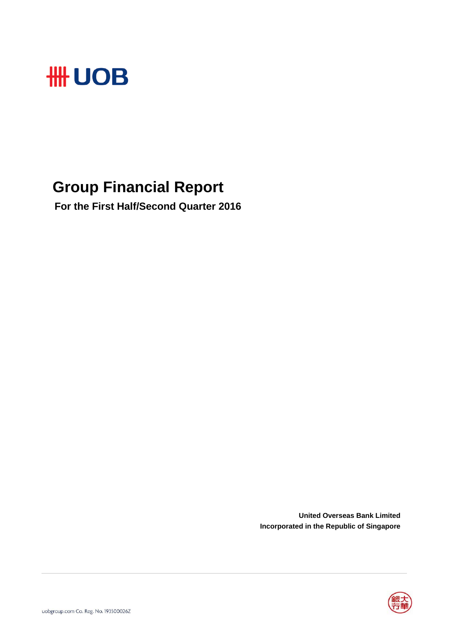

# **Group Financial Report**

 **For the First Half/Second Quarter 2016**

**United Overseas Bank Limited Incorporated in the Republic of Singapore**

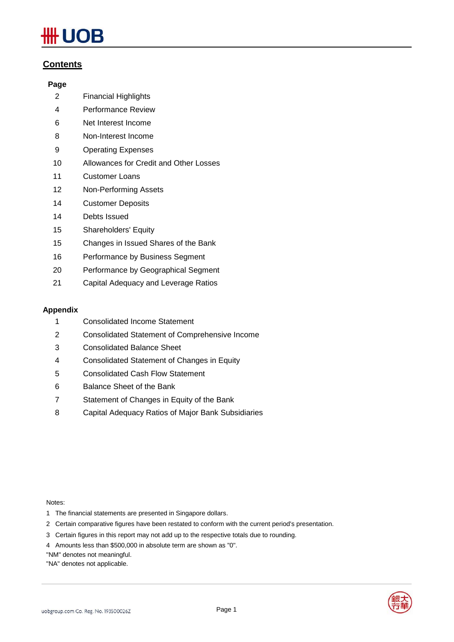# **UOB**

# **Contents**

# **Page**

- Financial Highlights
- Performance Review
- Net Interest Income
- Non-Interest Income
- Operating Expenses
- Allowances for Credit and Other Losses
- Customer Loans
- Non-Performing Assets
- Customer Deposits
- Debts Issued
- Shareholders' Equity
- Changes in Issued Shares of the Bank
- Performance by Business Segment
- Performance by Geographical Segment
- Capital Adequacy and Leverage Ratios

# **Appendix**

- Consolidated Income Statement
- Consolidated Statement of Comprehensive Income
- Consolidated Balance Sheet
- Consolidated Statement of Changes in Equity
- Consolidated Cash Flow Statement
- Balance Sheet of the Bank
- Statement of Changes in Equity of the Bank
- Capital Adequacy Ratios of Major Bank Subsidiaries

Notes:

- 1 The financial statements are presented in Singapore dollars.
- 2 Certain comparative figures have been restated to conform with the current period's presentation.
- 3 Certain figures in this report may not add up to the respective totals due to rounding.
- 4 Amounts less than \$500,000 in absolute term are shown as "0".

"NM" denotes not meaningful.

"NA" denotes not applicable.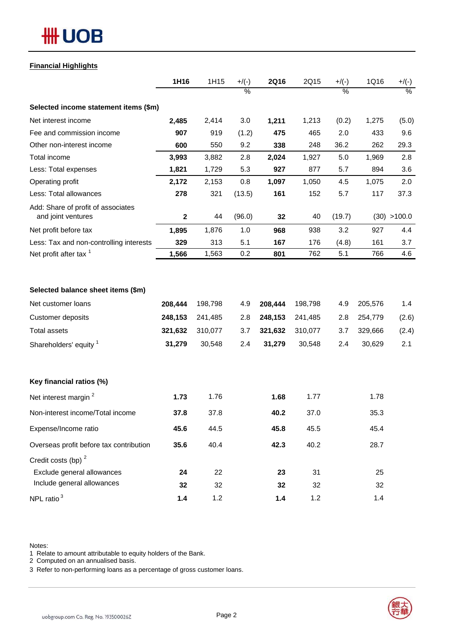# **#HUOB**

### **Financial Highlights**

|                                                          | 1H16         | 1H15    | $+$ /(-)      | <b>2Q16</b> | 2Q15    | $+/(-)$ | 1Q16    | $+/(-)$      |
|----------------------------------------------------------|--------------|---------|---------------|-------------|---------|---------|---------|--------------|
|                                                          |              |         | $\frac{0}{2}$ |             |         | $\%$    |         | $\%$         |
| Selected income statement items (\$m)                    |              |         |               |             |         |         |         |              |
| Net interest income                                      | 2,485        | 2,414   | 3.0           | 1,211       | 1,213   | (0.2)   | 1,275   | (5.0)        |
| Fee and commission income                                | 907          | 919     | (1.2)         | 475         | 465     | 2.0     | 433     | 9.6          |
| Other non-interest income                                | 600          | 550     | 9.2           | 338         | 248     | 36.2    | 262     | 29.3         |
| Total income                                             | 3,993        | 3,882   | 2.8           | 2,024       | 1,927   | 5.0     | 1,969   | 2.8          |
| Less: Total expenses                                     | 1,821        | 1,729   | 5.3           | 927         | 877     | 5.7     | 894     | 3.6          |
| Operating profit                                         | 2,172        | 2,153   | 0.8           | 1,097       | 1,050   | 4.5     | 1,075   | 2.0          |
| Less: Total allowances                                   | 278          | 321     | (13.5)        | 161         | 152     | 5.7     | 117     | 37.3         |
| Add: Share of profit of associates<br>and joint ventures | $\mathbf{2}$ | 44      | (96.0)        | 32          | 40      | (19.7)  |         | (30) > 100.0 |
| Net profit before tax                                    | 1,895        | 1,876   | 1.0           | 968         | 938     | 3.2     | 927     | 4.4          |
| Less: Tax and non-controlling interests                  | 329          | 313     | 5.1           | 167         | 176     | (4.8)   | 161     | 3.7          |
| Net profit after tax <sup>1</sup>                        | 1,566        | 1,563   | 0.2           | 801         | 762     | 5.1     | 766     | 4.6          |
| Selected balance sheet items (\$m)                       |              |         |               |             |         |         |         |              |
| Net customer loans                                       | 208,444      | 198,798 | 4.9           | 208,444     | 198,798 | 4.9     | 205,576 | 1.4          |
| Customer deposits                                        | 248,153      | 241,485 | 2.8           | 248,153     | 241,485 | 2.8     | 254,779 | (2.6)        |
| <b>Total assets</b>                                      | 321,632      | 310,077 | 3.7           | 321,632     | 310,077 | 3.7     | 329,666 | (2.4)        |
| Shareholders' equity 1                                   | 31,279       | 30,548  | 2.4           | 31,279      | 30,548  | 2.4     | 30,629  | 2.1          |
| Key financial ratios (%)                                 |              |         |               |             |         |         |         |              |
| Net interest margin <sup>2</sup>                         | 1.73         | 1.76    |               | 1.68        | 1.77    |         | 1.78    |              |
| Non-interest income/Total income                         | 37.8         | 37.8    |               | 40.2        | 37.0    |         | 35.3    |              |
| Expense/Income ratio                                     | 45.6         | 44.5    |               | 45.8        | 45.5    |         | 45.4    |              |
| Overseas profit before tax contribution                  | 35.6         | 40.4    |               | 42.3        | 40.2    |         | 28.7    |              |
| Credit costs (bp) <sup>2</sup>                           |              |         |               |             |         |         |         |              |
| Exclude general allowances                               | 24           | 22      |               | 23          | 31      |         | 25      |              |
| Include general allowances                               | 32           | 32      |               | 32          | 32      |         | 32      |              |
| NPL ratio $3$                                            | 1.4          | 1.2     |               | 1.4         | 1.2     |         | 1.4     |              |

Notes:

1 Relate to amount attributable to equity holders of the Bank.

2 Computed on an annualised basis.

3 Refer to non-performing loans as a percentage of gross customer loans.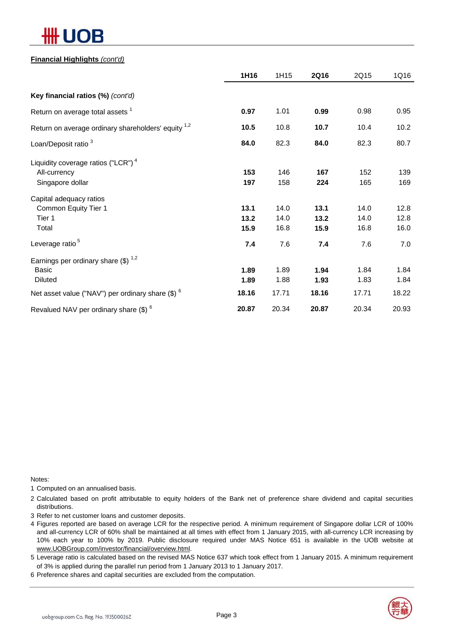# ЛB

### **Financial Highlights** *(cont'd)*

|                                                                | 1H16  | 1H15  | <b>2Q16</b> | 2Q15  | 1Q16  |
|----------------------------------------------------------------|-------|-------|-------------|-------|-------|
| Key financial ratios (%) (cont'd)                              |       |       |             |       |       |
| Return on average total assets <sup>1</sup>                    | 0.97  | 1.01  | 0.99        | 0.98  | 0.95  |
| Return on average ordinary shareholders' equity <sup>1,2</sup> | 10.5  | 10.8  | 10.7        | 10.4  | 10.2  |
| Loan/Deposit ratio <sup>3</sup>                                | 84.0  | 82.3  | 84.0        | 82.3  | 80.7  |
| Liquidity coverage ratios ("LCR") <sup>4</sup>                 |       |       |             |       |       |
| All-currency                                                   | 153   | 146   | 167         | 152   | 139   |
| Singapore dollar                                               | 197   | 158   | 224         | 165   | 169   |
| Capital adequacy ratios                                        |       |       |             |       |       |
| Common Equity Tier 1                                           | 13.1  | 14.0  | 13.1        | 14.0  | 12.8  |
| Tier 1                                                         | 13.2  | 14.0  | 13.2        | 14.0  | 12.8  |
| Total                                                          | 15.9  | 16.8  | 15.9        | 16.8  | 16.0  |
| Leverage ratio <sup>5</sup>                                    | 7.4   | 7.6   | 7.4         | 7.6   | 7.0   |
| Earnings per ordinary share $(\$)$ <sup>1,2</sup>              |       |       |             |       |       |
| Basic                                                          | 1.89  | 1.89  | 1.94        | 1.84  | 1.84  |
| <b>Diluted</b>                                                 | 1.89  | 1.88  | 1.93        | 1.83  | 1.84  |
| Net asset value ("NAV") per ordinary share $(\$)$ $^6$         | 18.16 | 17.71 | 18.16       | 17.71 | 18.22 |
| Revalued NAV per ordinary share $$)^6$                         | 20.87 | 20.34 | 20.87       | 20.34 | 20.93 |

Notes:

1 Computed on an annualised basis.

2 Calculated based on profit attributable to equity holders of the Bank net of preference share dividend and capital securities distributions.

3 Refer to net customer loans and customer deposits.

4 Figures reported are based on average LCR for the respective period. A minimum requirement of Singapore dollar LCR of 100% and all-currency LCR of 60% shall be maintained at all times with effect from 1 January 2015, with all-currency LCR increasing by 10% each year to 100% by 2019. Public disclosure required under MAS Notice 651 is available in the UOB website at www.UOBGroup.com/investor/financial/overview.html.

5 Leverage ratio is calculated based on the revised MAS Notice 637 which took effect from 1 January 2015. A minimum requirement of 3% is applied during the parallel run period from 1 January 2013 to 1 January 2017.

6 Preference shares and capital securities are excluded from the computation.

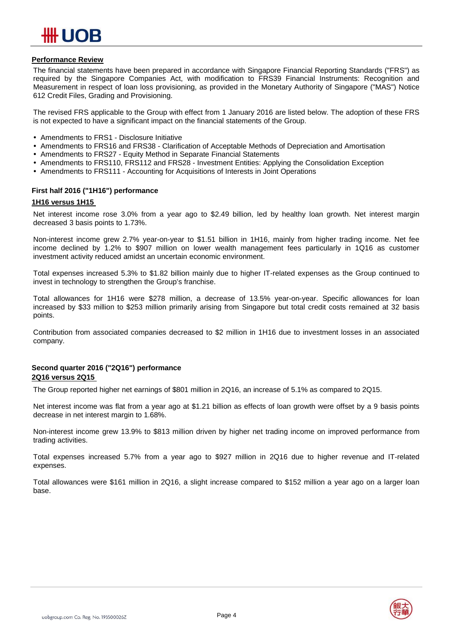# ## UOB

### **Performance Review**

The financial statements have been prepared in accordance with Singapore Financial Reporting Standards ("FRS") as required by the Singapore Companies Act, with modification to FRS39 Financial Instruments: Recognition and Measurement in respect of loan loss provisioning, as provided in the Monetary Authority of Singapore ("MAS") Notice 612 Credit Files, Grading and Provisioning.

The revised FRS applicable to the Group with effect from 1 January 2016 are listed below. The adoption of these FRS is not expected to have a significant impact on the financial statements of the Group.

- Amendments to FRS1 Disclosure Initiative
- Amendments to FRS16 and FRS38 Clarification of Acceptable Methods of Depreciation and Amortisation
- Amendments to FRS27 Equity Method in Separate Financial Statements
- Amendments to FRS110, FRS112 and FRS28 Investment Entities: Applying the Consolidation Exception
- Amendments to FRS111 Accounting for Acquisitions of Interests in Joint Operations

### **First half 2016 ("1H16") performance**

### **1H16 versus 1H15**

Net interest income rose 3.0% from a year ago to \$2.49 billion, led by healthy loan growth. Net interest margin decreased 3 basis points to 1.73%.

Non-interest income grew 2.7% year-on-year to \$1.51 billion in 1H16, mainly from higher trading income. Net fee income declined by 1.2% to \$907 million on lower wealth management fees particularly in 1Q16 as customer investment activity reduced amidst an uncertain economic environment.

Total expenses increased 5.3% to \$1.82 billion mainly due to higher IT-related expenses as the Group continued to invest in technology to strengthen the Group's franchise.

Total allowances for 1H16 were \$278 million, a decrease of 13.5% year-on-year. Specific allowances for loan increased by \$33 million to \$253 million primarily arising from Singapore but total credit costs remained at 32 basis points.

Contribution from associated companies decreased to \$2 million in 1H16 due to investment losses in an associated company.

### **Second quarter 2016 ("2Q16") performance 2Q16 versus 2Q15**

The Group reported higher net earnings of \$801 million in 2Q16, an increase of 5.1% as compared to 2Q15.

Net interest income was flat from a year ago at \$1.21 billion as effects of loan growth were offset by a 9 basis points decrease in net interest margin to 1.68%.

Non-interest income grew 13.9% to \$813 million driven by higher net trading income on improved performance from trading activities.

Total expenses increased 5.7% from a year ago to \$927 million in 2Q16 due to higher revenue and IT-related expenses.

Total allowances were \$161 million in 2Q16, a slight increase compared to \$152 million a year ago on a larger loan base.

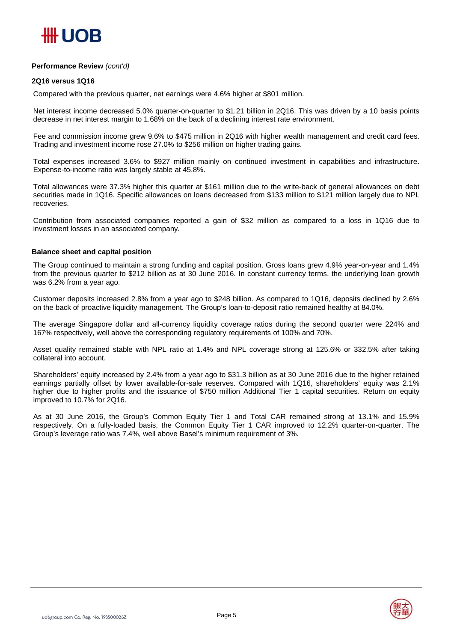### **Performance Review** *(cont'd)*

### **2Q16 versus 1Q16**

Compared with the previous quarter, net earnings were 4.6% higher at \$801 million.

Net interest income decreased 5.0% quarter-on-quarter to \$1.21 billion in 2Q16. This was driven by a 10 basis points decrease in net interest margin to 1.68% on the back of a declining interest rate environment.

Fee and commission income grew 9.6% to \$475 million in 2Q16 with higher wealth management and credit card fees. Trading and investment income rose 27.0% to \$256 million on higher trading gains.

Total expenses increased 3.6% to \$927 million mainly on continued investment in capabilities and infrastructure. Expense-to-income ratio was largely stable at 45.8%.

Total allowances were 37.3% higher this quarter at \$161 million due to the write-back of general allowances on debt securities made in 1Q16. Specific allowances on loans decreased from \$133 million to \$121 million largely due to NPL recoveries.

Contribution from associated companies reported a gain of \$32 million as compared to a loss in 1Q16 due to investment losses in an associated company.

### **Balance sheet and capital position**

The Group continued to maintain a strong funding and capital position. Gross loans grew 4.9% year-on-year and 1.4% from the previous quarter to \$212 billion as at 30 June 2016. In constant currency terms, the underlying loan growth was 6.2% from a year ago.

Customer deposits increased 2.8% from a year ago to \$248 billion. As compared to 1Q16, deposits declined by 2.6% on the back of proactive liquidity management. The Group's loan-to-deposit ratio remained healthy at 84.0%.

The average Singapore dollar and all-currency liquidity coverage ratios during the second quarter were 224% and 167% respectively, well above the corresponding regulatory requirements of 100% and 70%.

Asset quality remained stable with NPL ratio at 1.4% and NPL coverage strong at 125.6% or 332.5% after taking collateral into account.

Shareholders' equity increased by 2.4% from a year ago to \$31.3 billion as at 30 June 2016 due to the higher retained earnings partially offset by lower available-for-sale reserves. Compared with 1Q16, shareholders' equity was 2.1% higher due to higher profits and the issuance of \$750 million Additional Tier 1 capital securities. Return on equity improved to 10.7% for 2Q16.

As at 30 June 2016, the Group's Common Equity Tier 1 and Total CAR remained strong at 13.1% and 15.9% respectively. On a fully-loaded basis, the Common Equity Tier 1 CAR improved to 12.2% quarter-on-quarter. The Group's leverage ratio was 7.4%, well above Basel's minimum requirement of 3%.

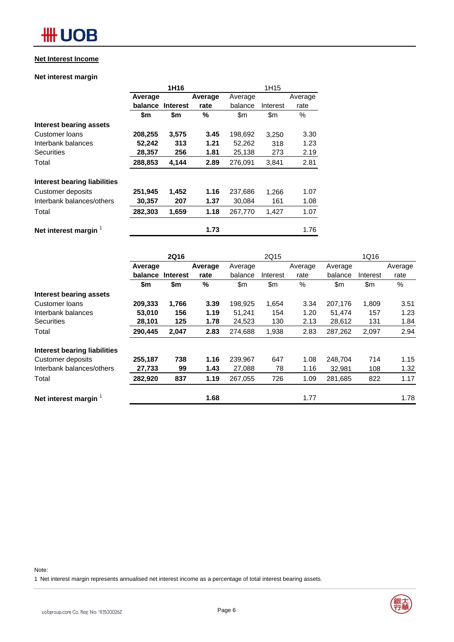# **HH UOB**

### **Net Interest Income**

### **Net interest margin**

|                              |         | 1H <sub>16</sub> |         |         |               |         |
|------------------------------|---------|------------------|---------|---------|---------------|---------|
|                              | Average |                  | Average | Average |               | Average |
|                              | balance | <b>Interest</b>  | rate    | balance | Interest      | rate    |
|                              | \$m     | \$m              | %       | \$m\$   | $\mathsf{Sm}$ | $\%$    |
| Interest bearing assets      |         |                  |         |         |               |         |
| Customer loans               | 208,255 | 3,575            | 3.45    | 198,692 | 3.250         | 3.30    |
| Interbank balances           | 52,242  | 313              | 1.21    | 52,262  | 318           | 1.23    |
| <b>Securities</b>            | 28,357  | 256              | 1.81    | 25,138  | 273           | 2.19    |
| Total                        | 288,853 | 4,144            | 2.89    | 276,091 | 3,841         | 2.81    |
| Interest bearing liabilities |         |                  |         |         |               |         |
| Customer deposits            | 251,945 | 1,452            | 1.16    | 237,686 | 1,266         | 1.07    |
| Interbank balances/others    | 30,357  | 207              | 1.37    | 30,084  | 161           | 1.08    |
| Total                        | 282,303 | 1,659            | 1.18    | 267,770 | 1,427         | 1.07    |
| Net interest margin          |         |                  | 1.73    |         |               | 1.76    |

|                              | <b>2Q16</b> |                 |         | 2Q15    |          |         | 1Q16    |          |         |
|------------------------------|-------------|-----------------|---------|---------|----------|---------|---------|----------|---------|
|                              | Average     |                 | Average | Average |          | Average | Average |          | Average |
|                              | balance     | <b>Interest</b> | rate    | balance | Interest | rate    | balance | Interest | rate    |
|                              | \$m         | \$m             | $\%$    | \$m\$   | \$m      | $\%$    | \$m\$   | \$m      | $\%$    |
| Interest bearing assets      |             |                 |         |         |          |         |         |          |         |
| Customer loans               | 209,333     | 1,766           | 3.39    | 198,925 | 1,654    | 3.34    | 207,176 | 1,809    | 3.51    |
| Interbank balances           | 53,010      | 156             | 1.19    | 51,241  | 154      | 1.20    | 51,474  | 157      | 1.23    |
| <b>Securities</b>            | 28,101      | 125             | 1.78    | 24,523  | 130      | 2.13    | 28,612  | 131      | 1.84    |
| Total                        | 290,445     | 2,047           | 2.83    | 274,688 | 1,938    | 2.83    | 287,262 | 2,097    | 2.94    |
| Interest bearing liabilities |             |                 |         |         |          |         |         |          |         |
| Customer deposits            | 255,187     | 738             | 1.16    | 239,967 | 647      | 1.08    | 248,704 | 714      | 1.15    |
| Interbank balances/others    | 27,733      | 99              | 1.43    | 27,088  | 78       | 1.16    | 32,981  | 108      | 1.32    |
| Total                        | 282,920     | 837             | 1.19    | 267,055 | 726      | 1.09    | 281,685 | 822      | 1.17    |
| Net interest margin          |             |                 | 1.68    |         |          | 1.77    |         |          | 1.78    |

#### Note:

1 Net interest margin represents annualised net interest income as a percentage of total interest bearing assets.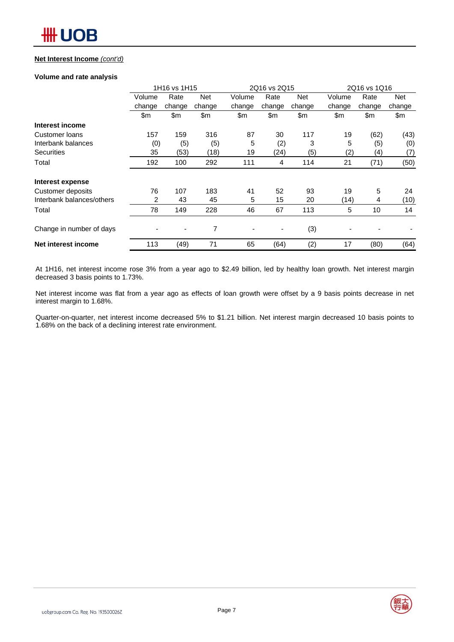### **Net Interest Income** *(cont'd)*

### **Volume and rate analysis**

|                           |        | 1H16 vs 1H15             |            | 2Q16 vs 2Q15 |        |            | 2Q16 vs 1Q16 |        |            |
|---------------------------|--------|--------------------------|------------|--------------|--------|------------|--------------|--------|------------|
|                           | Volume | Rate                     | <b>Net</b> | Volume       | Rate   | <b>Net</b> | Volume       | Rate   | <b>Net</b> |
|                           | change | change                   | change     | change       | change | change     | change       | change | change     |
|                           | \$m    | \$m                      | \$m\$      | \$m          | \$m    | \$m        | \$m          | \$m    | \$m        |
| Interest income           |        |                          |            |              |        |            |              |        |            |
| Customer Ioans            | 157    | 159                      | 316        | 87           | 30     | 117        | 19           | (62)   | (43)       |
| Interbank balances        | (0)    | (5)                      | (5)        | 5            | (2)    | 3          | 5            | (5)    | (0)        |
| <b>Securities</b>         | 35     | (53)                     | (18)       | 19           | (24)   | (5)        | (2)          | (4)    | (7)        |
| Total                     | 192    | 100                      | 292        | 111          | 4      | 114        | 21           | (71)   | (50)       |
| Interest expense          |        |                          |            |              |        |            |              |        |            |
| Customer deposits         | 76     | 107                      | 183        | 41           | 52     | 93         | 19           | 5      | 24         |
| Interbank balances/others | 2      | 43                       | 45         | 5            | 15     | 20         | (14)         | 4      | (10)       |
| Total                     | 78     | 149                      | 228        | 46           | 67     | 113        | 5            | 10     | 14         |
| Change in number of days  |        | $\overline{\phantom{0}}$ | 7          |              | ٠      | (3)        |              |        |            |
| Net interest income       | 113    | (49)                     | 71         | 65           | (64)   | (2)        | 17           | (80)   | (64)       |

At 1H16, net interest income rose 3% from a year ago to \$2.49 billion, led by healthy loan growth. Net interest margin decreased 3 basis points to 1.73%.

Net interest income was flat from a year ago as effects of loan growth were offset by a 9 basis points decrease in net interest margin to 1.68%.

Quarter-on-quarter, net interest income decreased 5% to \$1.21 billion. Net interest margin decreased 10 basis points to 1.68% on the back of a declining interest rate environment.

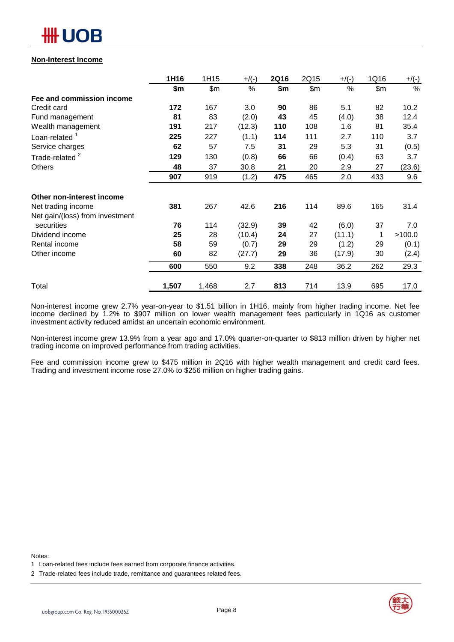

### **Non-Interest Income**

|                                 | 1H16  | 1H15  | $+$ /(-) | <b>2Q16</b> | 2Q15  | $+$ /(-) | 1Q16  | $+/(-)$       |
|---------------------------------|-------|-------|----------|-------------|-------|----------|-------|---------------|
|                                 | \$m   | \$m\$ | %        | \$m         | \$m\$ | %        | \$m\$ | $\frac{0}{0}$ |
| Fee and commission income       |       |       |          |             |       |          |       |               |
| Credit card                     | 172   | 167   | 3.0      | 90          | 86    | 5.1      | 82    | 10.2          |
| Fund management                 | 81    | 83    | (2.0)    | 43          | 45    | (4.0)    | 38    | 12.4          |
| Wealth management               | 191   | 217   | (12.3)   | 110         | 108   | 1.6      | 81    | 35.4          |
| Loan-related $1$                | 225   | 227   | (1.1)    | 114         | 111   | 2.7      | 110   | 3.7           |
| Service charges                 | 62    | 57    | 7.5      | 31          | 29    | 5.3      | 31    | (0.5)         |
| Trade-related <sup>2</sup>      | 129   | 130   | (0.8)    | 66          | 66    | (0.4)    | 63    | 3.7           |
| Others                          | 48    | 37    | 30.8     | 21          | 20    | 2.9      | 27    | (23.6)        |
|                                 | 907   | 919   | (1.2)    | 475         | 465   | 2.0      | 433   | 9.6           |
| Other non-interest income       |       |       |          |             |       |          |       |               |
| Net trading income              | 381   | 267   | 42.6     | 216         | 114   | 89.6     | 165   | 31.4          |
| Net gain/(loss) from investment |       |       |          |             |       |          |       |               |
| securities                      | 76    | 114   | (32.9)   | 39          | 42    | (6.0)    | 37    | 7.0           |
| Dividend income                 | 25    | 28    | (10.4)   | 24          | 27    | (11.1)   |       | >100.0        |
| Rental income                   | 58    | 59    | (0.7)    | 29          | 29    | (1.2)    | 29    | (0.1)         |
| Other income                    | 60    | 82    | (27.7)   | 29          | 36    | (17.9)   | 30    | (2.4)         |
|                                 | 600   | 550   | 9.2      | 338         | 248   | 36.2     | 262   | 29.3          |
| Total                           | 1,507 | 1,468 | 2.7      | 813         | 714   | 13.9     | 695   | 17.0          |

Non-interest income grew 2.7% year-on-year to \$1.51 billion in 1H16, mainly from higher trading income. Net fee income declined by 1.2% to \$907 million on lower wealth management fees particularly in 1Q16 as customer investment activity reduced amidst an uncertain economic environment.

Non-interest income grew 13.9% from a year ago and 17.0% quarter-on-quarter to \$813 million driven by higher net trading income on improved performance from trading activities.

Fee and commission income grew to \$475 million in 2Q16 with higher wealth management and credit card fees. Trading and investment income rose 27.0% to \$256 million on higher trading gains.

Notes:



<sup>1</sup> Loan-related fees include fees earned from corporate finance activities.

<sup>2</sup> Trade-related fees include trade, remittance and guarantees related fees.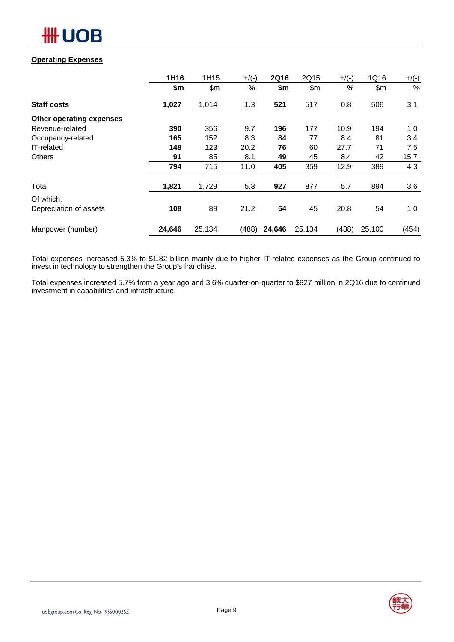

### **Operating Expenses**

|                          | 1H16   | 1H15   | $+$ /(-) | <b>2Q16</b> | 2Q15   | $+$ /(-) | 1Q16   | $+/(-)$ |
|--------------------------|--------|--------|----------|-------------|--------|----------|--------|---------|
|                          | \$m    | \$m    | %        | \$m         | \$m    | %        | \$m\$  | %       |
| <b>Staff costs</b>       | 1,027  | 1,014  | 1.3      | 521         | 517    | 0.8      | 506    | 3.1     |
| Other operating expenses |        |        |          |             |        |          |        |         |
| Revenue-related          | 390    | 356    | 9.7      | 196         | 177    | 10.9     | 194    | 1.0     |
| Occupancy-related        | 165    | 152    | 8.3      | 84          | 77     | 8.4      | 81     | 3.4     |
| IT-related               | 148    | 123    | 20.2     | 76          | 60     | 27.7     | 71     | 7.5     |
| <b>Others</b>            | 91     | 85     | 8.1      | 49          | 45     | 8.4      | 42     | 15.7    |
|                          | 794    | 715    | 11.0     | 405         | 359    | 12.9     | 389    | 4.3     |
| Total                    | 1,821  | 1,729  | 5.3      | 927         | 877    | 5.7      | 894    | 3.6     |
| Of which,                |        |        |          |             |        |          |        |         |
| Depreciation of assets   | 108    | 89     | 21.2     | 54          | 45     | 20.8     | 54     | 1.0     |
| Manpower (number)        | 24,646 | 25,134 | (488)    | 24,646      | 25,134 | (488)    | 25,100 | (454)   |

Total expenses increased 5.3% to \$1.82 billion mainly due to higher IT-related expenses as the Group continued to invest in technology to strengthen the Group's franchise.

Total expenses increased 5.7% from a year ago and 3.6% quarter-on-quarter to \$927 million in 2Q16 due to continued investment in capabilities and infrastructure.

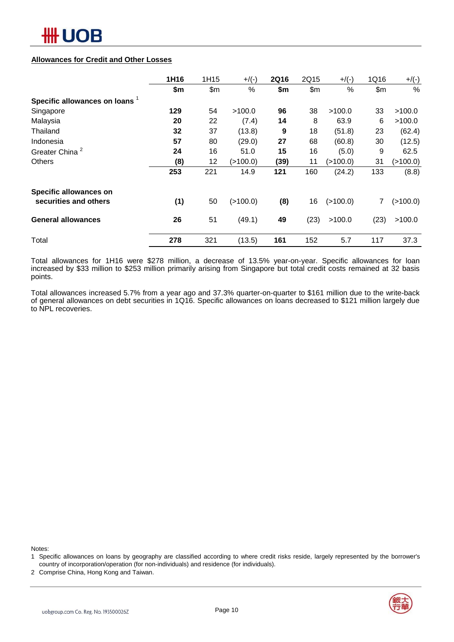# ₩ UOB

### **Allowances for Credit and Other Losses**

|                                | 1H16 | 1H15  | $+$ /(-) | <b>2Q16</b> | 2Q15  | $+$ /(-)   | 1Q16  | $+/(-)$       |
|--------------------------------|------|-------|----------|-------------|-------|------------|-------|---------------|
|                                | \$m  | \$m\$ | %        | \$m         | \$m\$ | $\%$       | \$m\$ | $\frac{0}{0}$ |
| Specific allowances on loans 1 |      |       |          |             |       |            |       |               |
| Singapore                      | 129  | 54    | >100.0   | 96          | 38    | >100.0     | 33    | >100.0        |
| Malaysia                       | 20   | 22    | (7.4)    | 14          | 8     | 63.9       | 6     | >100.0        |
| Thailand                       | 32   | 37    | (13.8)   | 9           | 18    | (51.8)     | 23    | (62.4)        |
| Indonesia                      | 57   | 80    | (29.0)   | 27          | 68    | (60.8)     | 30    | (12.5)        |
| Greater China <sup>2</sup>     | 24   | 16    | 51.0     | 15          | 16    | (5.0)      | 9     | 62.5          |
| <b>Others</b>                  | (8)  | 12    | (>100.0) | (39)        | 11    | (>100.0)   | 31    | (>100.0)      |
|                                | 253  | 221   | 14.9     | 121         | 160   | (24.2)     | 133   | (8.8)         |
| Specific allowances on         |      |       |          |             |       |            |       |               |
| securities and others          | (1)  | 50    | (>100.0) | (8)         | 16    | ( > 100.0) | 7     | (>100.0)      |
| <b>General allowances</b>      | 26   | 51    | (49.1)   | 49          | (23)  | >100.0     | (23)  | >100.0        |
| Total                          | 278  | 321   | (13.5)   | 161         | 152   | 5.7        | 117   | 37.3          |

Total allowances for 1H16 were \$278 million, a decrease of 13.5% year-on-year. Specific allowances for loan increased by \$33 million to \$253 million primarily arising from Singapore but total credit costs remained at 32 basis points.

Total allowances increased 5.7% from a year ago and 37.3% quarter-on-quarter to \$161 million due to the write-back of general allowances on debt securities in 1Q16. Specific allowances on loans decreased to \$121 million largely due to NPL recoveries.

Notes:

- 1 Specific allowances on loans by geography are classified according to where credit risks reside, largely represented by the borrower's country of incorporation/operation (for non-individuals) and residence (for individuals).
- 2 Comprise China, Hong Kong and Taiwan.

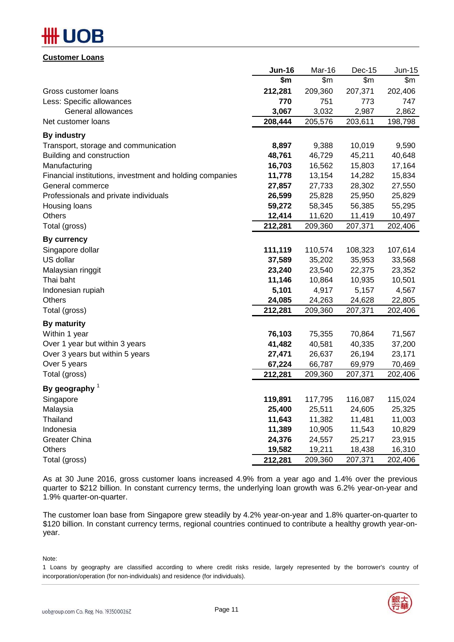# B

**Customer Loans**

|                                                          | <b>Jun-16</b> | Mar-16  | Dec-15  | Jun-15  |
|----------------------------------------------------------|---------------|---------|---------|---------|
|                                                          | \$m           | \$m\$   | \$m\$   | \$m     |
| Gross customer loans                                     | 212,281       | 209,360 | 207,371 | 202,406 |
| Less: Specific allowances                                | 770           | 751     | 773     | 747     |
| General allowances                                       | 3,067         | 3,032   | 2,987   | 2,862   |
| Net customer loans                                       | 208,444       | 205,576 | 203,611 | 198,798 |
| <b>By industry</b>                                       |               |         |         |         |
| Transport, storage and communication                     | 8,897         | 9,388   | 10,019  | 9,590   |
| Building and construction                                | 48,761        | 46,729  | 45,211  | 40,648  |
| Manufacturing                                            | 16,703        | 16,562  | 15,803  | 17,164  |
| Financial institutions, investment and holding companies | 11,778        | 13,154  | 14,282  | 15,834  |
| General commerce                                         | 27,857        | 27,733  | 28,302  | 27,550  |
| Professionals and private individuals                    | 26,599        | 25,828  | 25,950  | 25,829  |
| Housing loans                                            | 59,272        | 58,345  | 56,385  | 55,295  |
| <b>Others</b>                                            | 12,414        | 11,620  | 11,419  | 10,497  |
| Total (gross)                                            | 212,281       | 209,360 | 207,371 | 202,406 |
| <b>By currency</b>                                       |               |         |         |         |
| Singapore dollar                                         | 111,119       | 110,574 | 108,323 | 107,614 |
| US dollar                                                | 37,589        | 35,202  | 35,953  | 33,568  |
| Malaysian ringgit                                        | 23,240        | 23,540  | 22,375  | 23,352  |
| Thai baht                                                | 11,146        | 10,864  | 10,935  | 10,501  |
| Indonesian rupiah                                        | 5,101         | 4,917   | 5,157   | 4,567   |
| <b>Others</b>                                            | 24,085        | 24,263  | 24,628  | 22,805  |
| Total (gross)                                            | 212,281       | 209,360 | 207,371 | 202,406 |
| <b>By maturity</b>                                       |               |         |         |         |
| Within 1 year                                            | 76,103        | 75,355  | 70,864  | 71,567  |
| Over 1 year but within 3 years                           | 41,482        | 40,581  | 40,335  | 37,200  |
| Over 3 years but within 5 years                          | 27,471        | 26,637  | 26,194  | 23,171  |
| Over 5 years                                             | 67,224        | 66,787  | 69,979  | 70,469  |
| Total (gross)                                            | 212,281       | 209,360 | 207,371 | 202,406 |
| By geography $1$                                         |               |         |         |         |
| Singapore                                                | 119,891       | 117,795 | 116,087 | 115,024 |
| Malaysia                                                 | 25,400        | 25,511  | 24,605  | 25,325  |
| Thailand                                                 | 11,643        | 11,382  | 11,481  | 11,003  |
| Indonesia                                                | 11,389        | 10,905  | 11,543  | 10,829  |
| Greater China                                            | 24,376        | 24,557  | 25,217  | 23,915  |
| Others                                                   | 19,582        | 19,211  | 18,438  | 16,310  |
| Total (gross)                                            | 212,281       | 209,360 | 207,371 | 202,406 |
|                                                          |               |         |         |         |

As at 30 June 2016, gross customer loans increased 4.9% from a year ago and 1.4% over the previous quarter to \$212 billion. In constant currency terms, the underlying loan growth was 6.2% year-on-year and 1.9% quarter-on-quarter.

The customer loan base from Singapore grew steadily by 4.2% year-on-year and 1.8% quarter-on-quarter to \$120 billion. In constant currency terms, regional countries continued to contribute a healthy growth year-onyear.

Note:

1 Loans by geography are classified according to where credit risks reside, largely represented by the borrower's country of incorporation/operation (for non-individuals) and residence (for individuals).

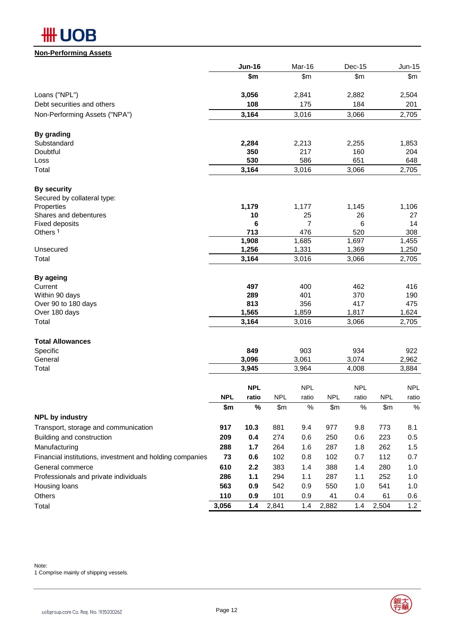

### **Non-Performing Assets**

|                                                          |            | <b>Jun-16</b>  |            | Mar-16         |            | Dec-15         |            | <b>Jun-15</b>  |
|----------------------------------------------------------|------------|----------------|------------|----------------|------------|----------------|------------|----------------|
|                                                          |            | \$m            |            | \$m\$          |            | \$m\$          |            | \$m\$          |
| Loans ("NPL")                                            |            | 3,056          |            | 2,841          |            | 2,882          |            | 2,504          |
| Debt securities and others                               |            | 108            |            | 175            |            | 184            |            | 201            |
| Non-Performing Assets ("NPA")                            |            | 3,164          |            | 3,016          |            | 3,066          |            | 2,705          |
| By grading                                               |            |                |            |                |            |                |            |                |
| Substandard                                              |            | 2,284          |            | 2,213          |            | 2,255          |            | 1,853          |
| Doubtful                                                 |            | 350            |            | 217            |            | 160            |            | 204            |
| Loss                                                     |            | 530            |            | 586            |            | 651            |            | 648            |
| Total                                                    |            | 3,164          |            | 3,016          |            | 3,066          |            | 2,705          |
| <b>By security</b>                                       |            |                |            |                |            |                |            |                |
| Secured by collateral type:                              |            |                |            |                |            |                |            |                |
| Properties                                               |            | 1,179          |            | 1,177          |            | 1,145          |            | 1,106          |
| Shares and debentures<br><b>Fixed deposits</b>           |            | 10<br>6        |            | 25<br>7        |            | 26<br>6        |            | 27<br>14       |
| Others <sup>1</sup>                                      |            | 713            |            | 476            |            | 520            |            | 308            |
|                                                          |            | 1,908          |            | 1,685          |            | 1,697          |            | 1,455          |
| Unsecured                                                |            | 1,256          |            | 1,331          |            | 1,369          |            | 1,250          |
| Total                                                    |            | 3,164          |            | 3,016          |            | 3,066          |            | 2,705          |
| By ageing                                                |            |                |            |                |            |                |            |                |
| Current                                                  |            | 497            |            | 400            |            | 462            |            | 416            |
| Within 90 days                                           |            | 289            |            | 401            |            | 370            |            | 190            |
| Over 90 to 180 days                                      |            | 813            |            | 356            |            | 417            |            | 475            |
| Over 180 days<br>Total                                   |            | 1,565<br>3,164 |            | 1,859<br>3,016 |            | 1,817<br>3,066 |            | 1,624<br>2,705 |
|                                                          |            |                |            |                |            |                |            |                |
| <b>Total Allowances</b>                                  |            |                |            |                |            |                |            |                |
| Specific<br>General                                      |            | 849<br>3,096   |            | 903<br>3,061   |            | 934<br>3,074   |            | 922<br>2,962   |
| Total                                                    |            | 3,945          |            | 3,964          |            | 4,008          |            | 3,884          |
|                                                          |            |                |            |                |            |                |            |                |
|                                                          |            | <b>NPL</b>     |            | <b>NPL</b>     |            | <b>NPL</b>     |            | <b>NPL</b>     |
|                                                          | <b>NPL</b> | ratio          | <b>NPL</b> | ratio          | <b>NPL</b> | ratio          | <b>NPL</b> | ratio          |
| <b>NPL by industry</b>                                   | \$m        | %              | \$m        | $\%$           | \$m        | $\%$           | \$m        | $\%$           |
| Transport, storage and communication                     | 917        | 10.3           | 881        | 9.4            | 977        | 9.8            | 773        | 8.1            |
| Building and construction                                | 209        | 0.4            | 274        | 0.6            | 250        | 0.6            | 223        | 0.5            |
| Manufacturing                                            | 288        | 1.7            | 264        | 1.6            | 287        | 1.8            | 262        | 1.5            |
| Financial institutions, investment and holding companies | 73         | 0.6            | 102        | 0.8            | 102        | 0.7            | 112        | 0.7            |
| General commerce                                         | 610        | 2.2            | 383        | 1.4            | 388        | 1.4            | 280        | 1.0            |
| Professionals and private individuals                    | 286        | 1.1            | 294        | 1.1            | 287        | 1.1            | 252        | 1.0            |
| Housing loans                                            | 563        | 0.9            | 542        | 0.9            | 550        | 1.0            | 541        | 1.0            |
| Others                                                   | 110        | 0.9            | 101        | 0.9            | 41         | 0.4            | 61         | 0.6            |
| Total                                                    | 3,056      | 1.4            | 2,841      | 1.4            | 2,882      | 1.4            | 2,504      | $1.2$          |
|                                                          |            |                |            |                |            |                |            |                |

Note: 1 Comprise mainly of shipping vessels.

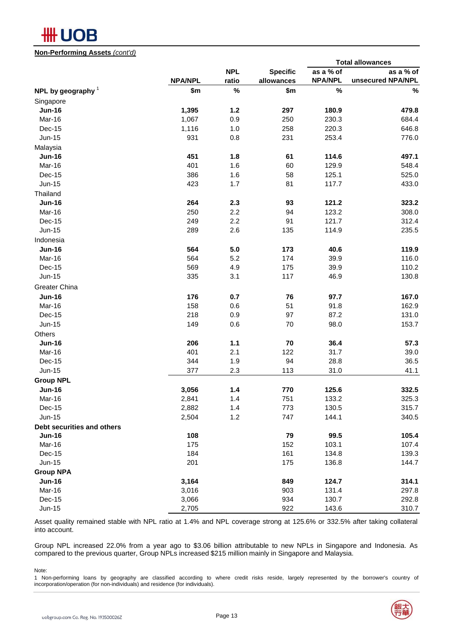# **#HUOB**

**Non-Performing Assets** *(cont'd)*

|                            |                |            |                 |                | <b>Total allowances</b> |
|----------------------------|----------------|------------|-----------------|----------------|-------------------------|
|                            |                | <b>NPL</b> | <b>Specific</b> | as a % of      | as a % of               |
|                            | <b>NPA/NPL</b> | ratio      | allowances      | <b>NPA/NPL</b> | unsecured NPA/NPL       |
| NPL by geography $1$       | \$m            | $\%$       | \$m             | $\%$           | $\%$                    |
| Singapore                  |                |            |                 |                |                         |
| <b>Jun-16</b>              | 1,395          | 1.2        | 297             | 180.9          | 479.8                   |
| Mar-16                     | 1,067          | 0.9        | 250             | 230.3          | 684.4                   |
| Dec-15                     | 1,116          | $1.0$      | 258             | 220.3          | 646.8                   |
| <b>Jun-15</b>              | 931            | 0.8        | 231             | 253.4          | 776.0                   |
| Malaysia                   |                |            |                 |                |                         |
| <b>Jun-16</b>              | 451            | 1.8        | 61              | 114.6          | 497.1                   |
| Mar-16                     | 401            | 1.6        | 60              | 129.9          | 548.4                   |
| Dec-15                     | 386            | 1.6        | 58              | 125.1          | 525.0                   |
| <b>Jun-15</b>              | 423            | 1.7        | 81              | 117.7          | 433.0                   |
| Thailand                   |                |            |                 |                |                         |
| <b>Jun-16</b>              | 264            | 2.3        | 93              | 121.2          | 323.2                   |
| Mar-16                     | 250            | 2.2        | 94              | 123.2          | 308.0                   |
| Dec-15                     | 249            | 2.2        | 91              | 121.7          | 312.4                   |
| <b>Jun-15</b>              | 289            | 2.6        | 135             | 114.9          | 235.5                   |
| Indonesia                  |                |            |                 |                |                         |
| <b>Jun-16</b>              | 564            | 5.0        | 173             | 40.6           | 119.9                   |
| Mar-16                     | 564            | 5.2        | 174             | 39.9           | 116.0                   |
| Dec-15                     | 569            | 4.9        | 175             | 39.9           | 110.2                   |
| <b>Jun-15</b>              | 335            | 3.1        | 117             | 46.9           | 130.8                   |
| Greater China              |                |            |                 |                |                         |
| <b>Jun-16</b>              | 176            | 0.7        | 76              | 97.7           | 167.0                   |
| Mar-16                     | 158            | 0.6        | 51              | 91.8           | 162.9                   |
| Dec-15                     | 218            | 0.9        | 97              | 87.2           | 131.0                   |
| <b>Jun-15</b>              | 149            | 0.6        | 70              | 98.0           | 153.7                   |
| Others                     |                |            |                 |                |                         |
| <b>Jun-16</b>              | 206            | $1.1$      | 70              | 36.4           | 57.3                    |
| Mar-16                     | 401            | 2.1        | 122             | 31.7           | 39.0                    |
| Dec-15                     | 344            | 1.9        | 94              | 28.8           | 36.5                    |
| Jun-15                     | 377            | 2.3        | 113             | 31.0           | 41.1                    |
|                            |                |            |                 |                |                         |
| <b>Group NPL</b>           |                |            |                 |                |                         |
| <b>Jun-16</b>              | 3,056          | 1.4        | 770             | 125.6          | 332.5                   |
| Mar-16                     | 2,841          | 1.4        | 751             | 133.2          | 325.3                   |
| Dec-15                     | 2,882          | $1.4$      | 773             | 130.5          | 315.7                   |
| <b>Jun-15</b>              | 2,504          | $1.2$      | 747             | 144.1          | 340.5                   |
| Debt securities and others |                |            |                 |                |                         |
| <b>Jun-16</b>              | 108            |            | 79              | 99.5           | 105.4                   |
| Mar-16                     | 175            |            | 152             | 103.1          | 107.4                   |
| Dec-15                     | 184            |            | 161             | 134.8          | 139.3                   |
| Jun-15                     | 201            |            | 175             | 136.8          | 144.7                   |
| <b>Group NPA</b>           |                |            |                 |                |                         |
| <b>Jun-16</b>              | 3,164          |            | 849             | 124.7          | 314.1                   |
| Mar-16                     | 3,016          |            | 903             | 131.4          | 297.8                   |
| $Dec-15$                   | 3,066          |            | 934             | 130.7          | 292.8                   |
| $Jun-15$                   | 2,705          |            | 922             | 143.6          | 310.7                   |

Asset quality remained stable with NPL ratio at 1.4% and NPL coverage strong at 125.6% or 332.5% after taking collateral into account.

Group NPL increased 22.0% from a year ago to \$3.06 billion attributable to new NPLs in Singapore and Indonesia. As compared to the previous quarter, Group NPLs increased \$215 million mainly in Singapore and Malaysia.

Note:

1 Non-performing loans by geography are classified according to where credit risks reside, largely represented by the borrower's country of incorporation/operation (for non-individuals) and residence (for individuals).

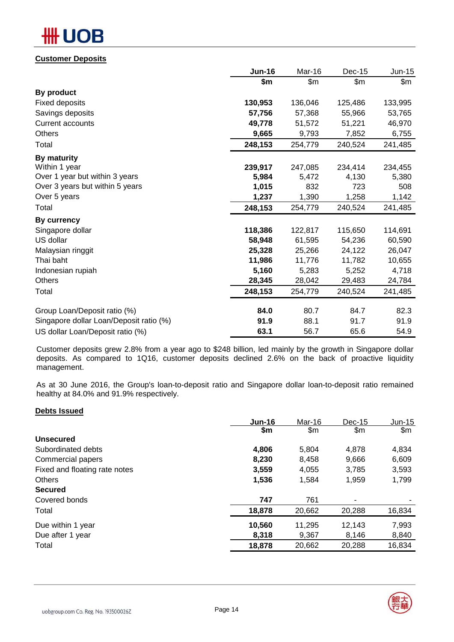# DB

### **Customer Deposits**

|                                         | <b>Jun-16</b> | Mar-16  | Dec-15  | Jun-15  |
|-----------------------------------------|---------------|---------|---------|---------|
|                                         | \$m           | \$m\$   | \$m     | \$m     |
| By product                              |               |         |         |         |
| <b>Fixed deposits</b>                   | 130,953       | 136,046 | 125,486 | 133,995 |
| Savings deposits                        | 57,756        | 57,368  | 55,966  | 53,765  |
| <b>Current accounts</b>                 | 49,778        | 51,572  | 51,221  | 46,970  |
| <b>Others</b>                           | 9,665         | 9,793   | 7,852   | 6,755   |
| Total                                   | 248,153       | 254,779 | 240,524 | 241,485 |
| By maturity                             |               |         |         |         |
| Within 1 year                           | 239,917       | 247,085 | 234,414 | 234,455 |
| Over 1 year but within 3 years          | 5,984         | 5,472   | 4,130   | 5,380   |
| Over 3 years but within 5 years         | 1,015         | 832     | 723     | 508     |
| Over 5 years                            | 1,237         | 1,390   | 1,258   | 1,142   |
| Total                                   | 248,153       | 254,779 | 240,524 | 241,485 |
| By currency                             |               |         |         |         |
| Singapore dollar                        | 118,386       | 122,817 | 115,650 | 114,691 |
| US dollar                               | 58,948        | 61,595  | 54,236  | 60,590  |
| Malaysian ringgit                       | 25,328        | 25,266  | 24,122  | 26,047  |
| Thai baht                               | 11,986        | 11,776  | 11,782  | 10,655  |
| Indonesian rupiah                       | 5,160         | 5,283   | 5,252   | 4,718   |
| Others                                  | 28,345        | 28,042  | 29,483  | 24,784  |
| Total                                   | 248,153       | 254,779 | 240,524 | 241,485 |
| Group Loan/Deposit ratio (%)            | 84.0          | 80.7    | 84.7    | 82.3    |
| Singapore dollar Loan/Deposit ratio (%) | 91.9          | 88.1    | 91.7    | 91.9    |
| US dollar Loan/Deposit ratio (%)        | 63.1          | 56.7    | 65.6    | 54.9    |
|                                         |               |         |         |         |

Customer deposits grew 2.8% from a year ago to \$248 billion, led mainly by the growth in Singapore dollar deposits. As compared to 1Q16, customer deposits declined 2.6% on the back of proactive liquidity management.

As at 30 June 2016, the Group's loan-to-deposit ratio and Singapore dollar loan-to-deposit ratio remained healthy at 84.0% and 91.9% respectively.

### **Debts Issued**

|                               | $Jun-16$ | Mar-16 | $Dec-15$ | Jun-15 |
|-------------------------------|----------|--------|----------|--------|
|                               | \$m      | \$m    | \$m      | \$m\$  |
| Unsecured                     |          |        |          |        |
| Subordinated debts            | 4,806    | 5,804  | 4.878    | 4,834  |
| Commercial papers             | 8,230    | 8,458  | 9,666    | 6,609  |
| Fixed and floating rate notes | 3,559    | 4,055  | 3,785    | 3,593  |
| <b>Others</b>                 | 1,536    | 1,584  | 1,959    | 1,799  |
| <b>Secured</b>                |          |        |          |        |
| Covered bonds                 | 747      | 761    |          |        |
| Total                         | 18,878   | 20,662 | 20,288   | 16,834 |
| Due within 1 year             | 10,560   | 11,295 | 12,143   | 7,993  |
| Due after 1 year              | 8,318    | 9,367  | 8,146    | 8,840  |
| Total                         | 18,878   | 20,662 | 20,288   | 16,834 |
|                               |          |        |          |        |

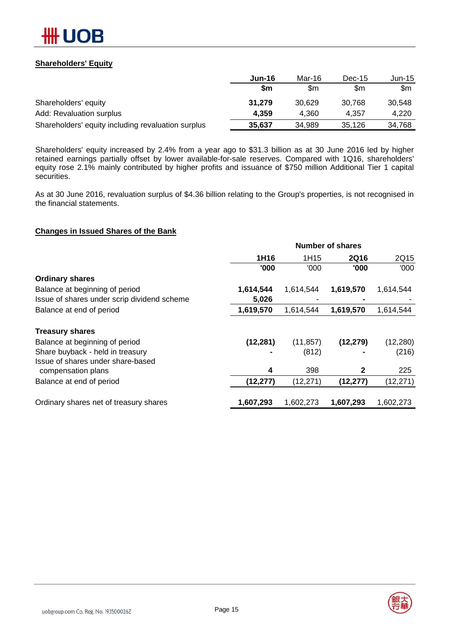

### **Shareholders' Equity**

|                                                    | Jun-16 | Mar-16 | $Dec-15$ | $Jun-15$ |
|----------------------------------------------------|--------|--------|----------|----------|
|                                                    | \$m    | \$m    | \$m      | \$m      |
| Shareholders' equity                               | 31,279 | 30.629 | 30.768   | 30.548   |
| Add: Revaluation surplus                           | 4,359  | 4.360  | 4.357    | 4.220    |
| Shareholders' equity including revaluation surplus | 35,637 | 34.989 | 35,126   | 34,768   |

Shareholders' equity increased by 2.4% from a year ago to \$31.3 billion as at 30 June 2016 led by higher retained earnings partially offset by lower available-for-sale reserves. Compared with 1Q16, shareholders' equity rose 2.1% mainly contributed by higher profits and issuance of \$750 million Additional Tier 1 capital securities.

As at 30 June 2016, revaluation surplus of \$4.36 billion relating to the Group's properties, is not recognised in the financial statements.

### **Changes in Issued Shares of the Bank**

|                                                         | <b>Number of shares</b> |           |             |           |  |  |  |
|---------------------------------------------------------|-------------------------|-----------|-------------|-----------|--|--|--|
|                                                         | 1H16                    | 1H15      | <b>2Q16</b> | 2Q15      |  |  |  |
|                                                         | '000                    | '000      | '000        | '000      |  |  |  |
| <b>Ordinary shares</b>                                  |                         |           |             |           |  |  |  |
| Balance at beginning of period                          | 1,614,544               | 1,614,544 | 1,619,570   | 1,614,544 |  |  |  |
| Issue of shares under scrip dividend scheme             | 5,026                   |           |             |           |  |  |  |
| Balance at end of period                                | 1,619,570               | 1,614,544 | 1,619,570   | 1,614,544 |  |  |  |
| <b>Treasury shares</b>                                  |                         |           |             |           |  |  |  |
| Balance at beginning of period                          | (12, 281)               | (11, 857) | (12, 279)   | (12, 280) |  |  |  |
| Share buyback - held in treasury                        |                         | (812)     |             | (216)     |  |  |  |
| Issue of shares under share-based<br>compensation plans | 4                       | 398       | 2           | 225       |  |  |  |
| Balance at end of period                                | (12, 277)               | (12, 271) | (12, 277)   | (12, 271) |  |  |  |
| Ordinary shares net of treasury shares                  | 1,607,293               | 1,602,273 | 1,607,293   | 1,602,273 |  |  |  |

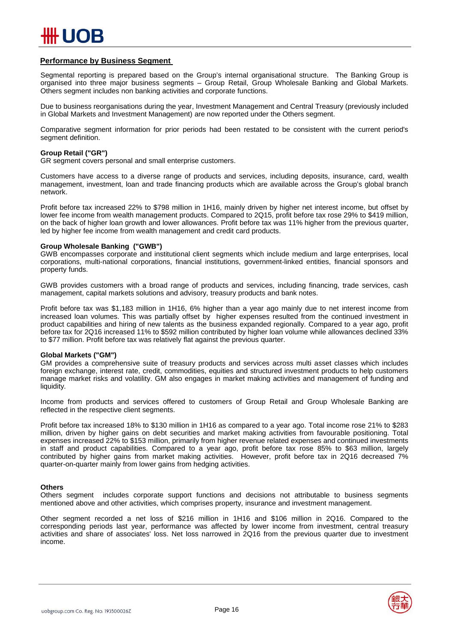

### **Performance by Business Segment**

Segmental reporting is prepared based on the Group's internal organisational structure. The Banking Group is organised into three major business segments – Group Retail, Group Wholesale Banking and Global Markets. Others segment includes non banking activities and corporate functions.

Due to business reorganisations during the year, Investment Management and Central Treasury (previously included in Global Markets and Investment Management) are now reported under the Others segment.

Comparative segment information for prior periods had been restated to be consistent with the current period's segment definition.

#### **Group Retail ("GR")**

GR segment covers personal and small enterprise customers.

Customers have access to a diverse range of products and services, including deposits, insurance, card, wealth management, investment, loan and trade financing products which are available across the Group's global branch network.

Profit before tax increased 22% to \$798 million in 1H16, mainly driven by higher net interest income, but offset by lower fee income from wealth management products. Compared to 2Q15, profit before tax rose 29% to \$419 million, on the back of higher loan growth and lower allowances. Profit before tax was 11% higher from the previous quarter, led by higher fee income from wealth management and credit card products.

#### **Group Wholesale Banking ("GWB")**

GWB encompasses corporate and institutional client segments which include medium and large enterprises, local corporations, multi-national corporations, financial institutions, government-linked entities, financial sponsors and property funds.

GWB provides customers with a broad range of products and services, including financing, trade services, cash management, capital markets solutions and advisory, treasury products and bank notes.

Profit before tax was \$1,183 million in 1H16, 6% higher than a year ago mainly due to net interest income from increased loan volumes. This was partially offset by higher expenses resulted from the continued investment in product capabilities and hiring of new talents as the business expanded regionally. Compared to a year ago, profit before tax for 2Q16 increased 11% to \$592 million contributed by higher loan volume while allowances declined 33% to \$77 million. Profit before tax was relatively flat against the previous quarter.

#### **Global Markets ("GM")**

GM provides a comprehensive suite of treasury products and services across multi asset classes which includes foreign exchange, interest rate, credit, commodities, equities and structured investment products to help customers manage market risks and volatility. GM also engages in market making activities and management of funding and liquidity.

Income from products and services offered to customers of Group Retail and Group Wholesale Banking are reflected in the respective client segments.

Profit before tax increased 18% to \$130 million in 1H16 as compared to a year ago. Total income rose 21% to \$283 million, driven by higher gains on debt securities and market making activities from favourable positioning. Total expenses increased 22% to \$153 million, primarily from higher revenue related expenses and continued investments in staff and product capabilities. Compared to a year ago, profit before tax rose 85% to \$63 million, largely contributed by higher gains from market making activities. However, profit before tax in 2Q16 decreased 7% quarter-on-quarter mainly from lower gains from hedging activities.

#### **Others**

Others segment includes corporate support functions and decisions not attributable to business segments mentioned above and other activities, which comprises property, insurance and investment management.

Other segment recorded a net loss of \$216 million in 1H16 and \$106 million in 2Q16. Compared to the corresponding periods last year, performance was affected by lower income from investment, central treasury activities and share of associates' loss. Net loss narrowed in 2Q16 from the previous quarter due to investment income.

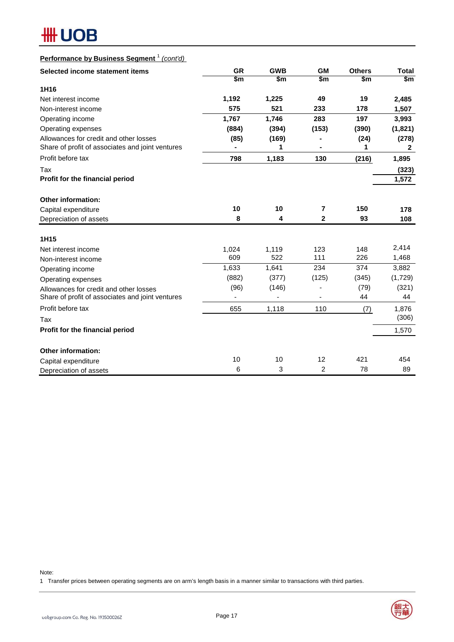

# **Performance by Business Segment** <sup>1</sup> *(cont'd)*

| Selected income statement items                  | <b>GR</b> | <b>GWB</b> | <b>GM</b>      | <b>Others</b> | <b>Total</b>           |
|--------------------------------------------------|-----------|------------|----------------|---------------|------------------------|
|                                                  | \$m       | \$m        | \$m            | \$m           | $\overline{\text{sm}}$ |
| 1H <sub>16</sub>                                 |           |            |                |               |                        |
| Net interest income                              | 1,192     | 1,225      | 49             | 19            | 2,485                  |
| Non-interest income                              | 575       | 521        | 233            | 178           | 1,507                  |
| Operating income                                 | 1,767     | 1,746      | 283            | 197           | 3,993                  |
| Operating expenses                               | (884)     | (394)      | (153)          | (390)         | (1,821)                |
| Allowances for credit and other losses           | (85)      | (169)      |                | (24)          | (278)                  |
| Share of profit of associates and joint ventures |           | 1          |                | 1             | $\mathbf{2}$           |
| Profit before tax                                | 798       | 1,183      | 130            | (216)         | 1,895                  |
| Tax                                              |           |            |                |               | (323)                  |
| Profit for the financial period                  |           |            |                |               | 1,572                  |
| <b>Other information:</b>                        |           |            |                |               |                        |
| Capital expenditure                              | 10        | 10         | 7              | 150           | 178                    |
| Depreciation of assets                           | 8         | 4          | $\mathbf{2}$   | 93            | 108                    |
| 1H15                                             |           |            |                |               |                        |
| Net interest income                              | 1,024     | 1,119      | 123            | 148           | 2,414                  |
| Non-interest income                              | 609       | 522        | 111            | 226           | 1,468                  |
| Operating income                                 | 1,633     | 1,641      | 234            | 374           | 3,882                  |
| Operating expenses                               | (882)     | (377)      | (125)          | (345)         | (1,729)                |
| Allowances for credit and other losses           | (96)      | (146)      |                | (79)          | (321)                  |
| Share of profit of associates and joint ventures |           |            |                | 44            | 44                     |
| Profit before tax                                | 655       | 1,118      | 110            | (7)           | 1,876                  |
| Tax                                              |           |            |                |               | (306)                  |
| Profit for the financial period                  |           |            |                |               | 1,570                  |
| <b>Other information:</b>                        |           |            |                |               |                        |
| Capital expenditure                              | 10        | 10         | 12             | 421           | 454                    |
| Depreciation of assets                           | 6         | 3          | $\overline{c}$ | 78            | 89                     |

Note:

1 Transfer prices between operating segments are on arm's length basis in a manner similar to transactions with third parties.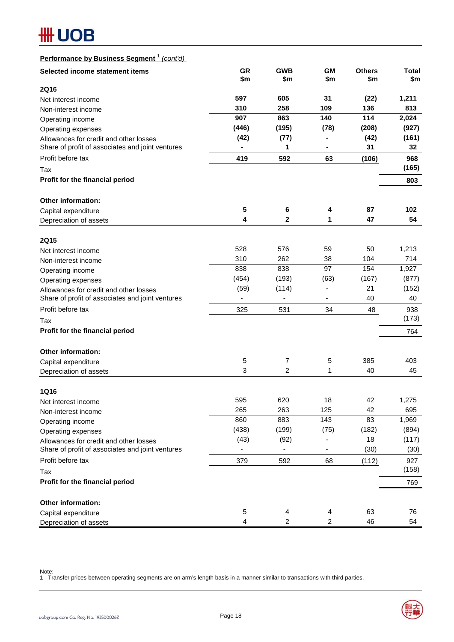# **HH UOB**

# **Performance by Business Segment** <sup>1</sup> *(cont'd)*

| Selected income statement items                  | <b>GR</b> | <b>GWB</b>   | <b>GM</b>                    | <b>Others</b> | <b>Total</b> |
|--------------------------------------------------|-----------|--------------|------------------------------|---------------|--------------|
|                                                  | \$m       | \$m          | \$m                          | \$m           | \$m          |
| <b>2Q16</b>                                      |           |              |                              |               |              |
| Net interest income                              | 597       | 605          | 31                           | (22)          | 1,211        |
| Non-interest income                              | 310       | 258          | 109                          | 136           | 813          |
| Operating income                                 | 907       | 863          | 140                          | 114           | 2,024        |
| Operating expenses                               | (446)     | (195)        | (78)                         | (208)         | (927)        |
| Allowances for credit and other losses           | (42)      | (77)         |                              | (42)          | (161)        |
| Share of profit of associates and joint ventures |           | 1            |                              | 31            | 32           |
| Profit before tax                                | 419       | 592          | 63                           | (106)         | 968          |
| Tax                                              |           |              |                              |               | (165)        |
| Profit for the financial period                  |           |              |                              |               | 803          |
| <b>Other information:</b>                        |           |              |                              |               |              |
| Capital expenditure                              | 5         | 6            | 4                            | 87            | 102          |
| Depreciation of assets                           | 4         | $\mathbf{2}$ | 1                            | 47            | 54           |
| <b>2Q15</b>                                      |           |              |                              |               |              |
| Net interest income                              | 528       | 576          | 59                           | 50            | 1,213        |
| Non-interest income                              | 310       | 262          | 38                           | 104           | 714          |
| Operating income                                 | 838       | 838          | 97                           | 154           | 1,927        |
| Operating expenses                               | (454)     | (193)        | (63)                         | (167)         | (877)        |
| Allowances for credit and other losses           | (59)      | (114)        | $\qquad \qquad \blacksquare$ | 21            | (152)        |
| Share of profit of associates and joint ventures |           |              |                              | 40            | 40           |
| Profit before tax                                | 325       | 531          | 34                           | 48            | 938          |
| Tax                                              |           |              |                              |               | (173)        |
| Profit for the financial period                  |           |              |                              |               | 764          |
| <b>Other information:</b>                        |           |              |                              |               |              |
| Capital expenditure                              | 5         | 7            | 5                            | 385           | 403          |
| Depreciation of assets                           | 3         | 2            | 1                            | 40            | 45           |
| <b>1Q16</b>                                      |           |              |                              |               |              |
| Net interest income                              | 595       | 620          | 18                           | 42            | 1,275        |
| Non-interest income                              | 265       | 263          | 125                          | 42            | 695          |
| Operating income                                 | 860       | 883          | 143                          | 83            | 1,969        |
| Operating expenses                               | (438)     | (199)        | (75)                         | (182)         | (894)        |
| Allowances for credit and other losses           | (43)      | (92)         | ÷,                           | 18            | (117)        |
| Share of profit of associates and joint ventures |           |              |                              | (30)          | (30)         |
| Profit before tax                                | 379       | 592          | 68                           | (112)         | 927          |
| Tax                                              |           |              |                              |               | (158)        |
| Profit for the financial period                  |           |              |                              |               | 769          |
| Other information:                               |           |              |                              |               |              |
| Capital expenditure                              | 5         | 4            | 4                            | 63            | 76           |
| Depreciation of assets                           | 4         | 2            | $\overline{c}$               | 46            | 54           |

Note:

1 Transfer prices between operating segments are on arm's length basis in a manner similar to transactions with third parties.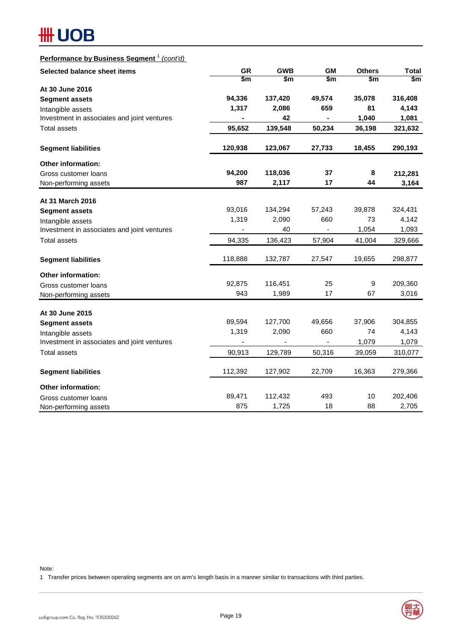# **HH UOB**

# **Performance by Business Segment** <sup>1</sup> *(cont'd)*

| Selected balance sheet items                                     | <b>GR</b>              | <b>GWB</b> | <b>GM</b>              | <b>Others</b>    | <b>Total</b>           |  |
|------------------------------------------------------------------|------------------------|------------|------------------------|------------------|------------------------|--|
|                                                                  | $\overline{\text{sm}}$ | \$m        | $\overline{\text{sm}}$ | \$m              | $\overline{\text{sm}}$ |  |
| At 30 June 2016                                                  |                        |            |                        |                  |                        |  |
| <b>Segment assets</b>                                            | 94,336                 | 137,420    | 49,574                 | 35,078           | 316,408                |  |
| Intangible assets                                                | 1,317                  | 2,086      | 659                    | 81               | 4,143                  |  |
| Investment in associates and joint ventures                      |                        | 42         |                        | 1,040            | 1,081                  |  |
| <b>Total assets</b>                                              | 95,652                 | 139,548    | 50,234                 | 36,198           | 321,632                |  |
| <b>Segment liabilities</b>                                       | 120,938                | 123,067    | 27,733                 | 18,455           | 290,193                |  |
| Other information:                                               |                        |            |                        |                  |                        |  |
| Gross customer loans                                             | 94,200                 | 118,036    | 37                     | 8                | 212,281                |  |
| Non-performing assets                                            | 987                    | 2,117      | 17                     | 44               | 3,164                  |  |
| At 31 March 2016                                                 |                        |            |                        |                  |                        |  |
| <b>Segment assets</b>                                            | 93,016                 | 134,294    | 57,243                 | 39,878           | 324,431                |  |
| Intangible assets                                                | 1,319                  | 2,090      | 660                    | 73               | 4,142                  |  |
| Investment in associates and joint ventures                      |                        | 40         |                        | 1,054            | 1,093                  |  |
| <b>Total assets</b>                                              | 94,335                 | 136,423    | 57,904                 | 41,004           | 329,666                |  |
| <b>Segment liabilities</b>                                       | 118,888                | 132,787    | 27,547                 | 19,655           | 298,877                |  |
| <b>Other information:</b>                                        |                        |            |                        |                  |                        |  |
| Gross customer loans                                             | 92,875                 | 116,451    | 25                     | $\boldsymbol{9}$ | 209,360                |  |
| Non-performing assets                                            | 943                    | 1,989      | 17                     | 67               | 3,016                  |  |
|                                                                  |                        |            |                        |                  |                        |  |
| At 30 June 2015                                                  | 89,594                 | 127,700    | 49,656                 | 37,906           | 304,855                |  |
| <b>Segment assets</b>                                            | 1,319                  | 2,090      | 660                    | 74               | 4,143                  |  |
| Intangible assets<br>Investment in associates and joint ventures |                        |            | $\blacksquare$         | 1,079            | 1,079                  |  |
| <b>Total assets</b>                                              | 90,913                 | 129,789    | 50,316                 | 39,059           | 310,077                |  |
| <b>Segment liabilities</b>                                       | 112,392                | 127,902    | 22,709                 | 16,363           | 279,366                |  |
| <b>Other information:</b>                                        |                        |            |                        |                  |                        |  |
| Gross customer loans                                             | 89,471                 | 112,432    | 493                    | 10               | 202,406                |  |
| Non-performing assets                                            | 875                    | 1,725      | 18                     | 88               | 2,705                  |  |

Note:

1 Transfer prices between operating segments are on arm's length basis in a manner similar to transactions with third parties.

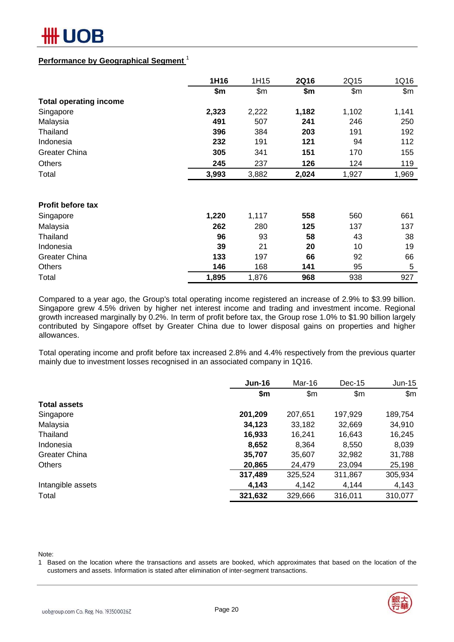

### **Performance by Geographical Segment** <sup>1</sup>

|                               | 1H16  | 1H15  | <b>2Q16</b> | 2Q15  | 1Q16  |
|-------------------------------|-------|-------|-------------|-------|-------|
|                               | \$m   | \$m\$ | \$m         | \$m\$ | \$m\$ |
| <b>Total operating income</b> |       |       |             |       |       |
| Singapore                     | 2,323 | 2,222 | 1,182       | 1,102 | 1,141 |
| Malaysia                      | 491   | 507   | 241         | 246   | 250   |
| Thailand                      | 396   | 384   | 203         | 191   | 192   |
| Indonesia                     | 232   | 191   | 121         | 94    | 112   |
| <b>Greater China</b>          | 305   | 341   | 151         | 170   | 155   |
| <b>Others</b>                 | 245   | 237   | 126         | 124   | 119   |
| Total                         | 3,993 | 3,882 | 2,024       | 1,927 | 1,969 |
|                               |       |       |             |       |       |
| <b>Profit before tax</b>      |       |       |             |       |       |
| Singapore                     | 1,220 | 1,117 | 558         | 560   | 661   |
| Malaysia                      | 262   | 280   | 125         | 137   | 137   |
| Thailand                      | 96    | 93    | 58          | 43    | 38    |
| Indonesia                     | 39    | 21    | 20          | 10    | 19    |
| <b>Greater China</b>          | 133   | 197   | 66          | 92    | 66    |
| <b>Others</b>                 | 146   | 168   | 141         | 95    | 5     |
| Total                         | 1,895 | 1,876 | 968         | 938   | 927   |

Compared to a year ago, the Group's total operating income registered an increase of 2.9% to \$3.99 billion. Singapore grew 4.5% driven by higher net interest income and trading and investment income. Regional growth increased marginally by 0.2%. In term of profit before tax, the Group rose 1.0% to \$1.90 billion largely contributed by Singapore offset by Greater China due to lower disposal gains on properties and higher allowances.

Total operating income and profit before tax increased 2.8% and 4.4% respectively from the previous quarter mainly due to investment losses recognised in an associated company in 1Q16.

|                      | <b>Jun-16</b> | Mar-16        | $Dec-15$ | $Jun-15$ |
|----------------------|---------------|---------------|----------|----------|
|                      | \$m           | $\mathsf{Sm}$ | \$m\$    | \$m\$    |
| <b>Total assets</b>  |               |               |          |          |
| Singapore            | 201,209       | 207,651       | 197,929  | 189,754  |
| Malaysia             | 34,123        | 33,182        | 32,669   | 34,910   |
| Thailand             | 16,933        | 16,241        | 16,643   | 16,245   |
| Indonesia            | 8,652         | 8,364         | 8,550    | 8,039    |
| <b>Greater China</b> | 35,707        | 35,607        | 32,982   | 31,788   |
| <b>Others</b>        | 20,865        | 24,479        | 23,094   | 25,198   |
|                      | 317,489       | 325,524       | 311,867  | 305,934  |
| Intangible assets    | 4,143         | 4,142         | 4,144    | 4,143    |
| Total                | 321,632       | 329,666       | 316,011  | 310,077  |

Note:

1 Based on the location where the transactions and assets are booked, which approximates that based on the location of the customers and assets. Information is stated after elimination of inter-segment transactions.

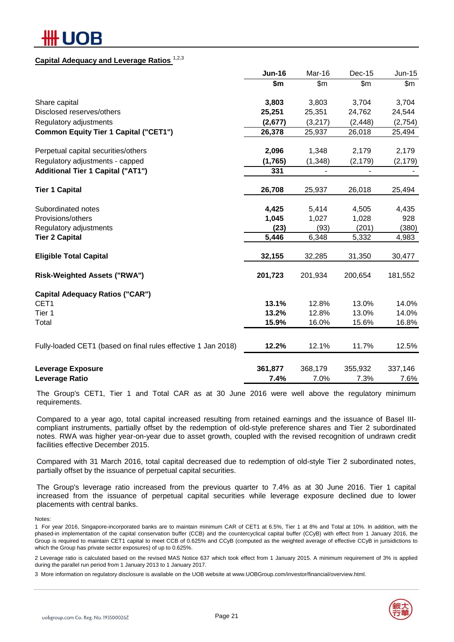# IOB

### **Capital Adequacy and Leverage Ratios** 1,2,3

|                                                               | <b>Jun-16</b> | Mar-16   | <b>Dec-15</b> | Jun-15   |
|---------------------------------------------------------------|---------------|----------|---------------|----------|
|                                                               | \$m           | \$m\$    | \$m           | \$m      |
| Share capital                                                 | 3,803         | 3,803    | 3,704         | 3,704    |
| Disclosed reserves/others                                     | 25,251        | 25,351   | 24,762        | 24,544   |
| Regulatory adjustments                                        | (2,677)       | (3,217)  | (2, 448)      | (2,754)  |
| <b>Common Equity Tier 1 Capital ("CET1")</b>                  | 26,378        | 25,937   | 26,018        | 25,494   |
| Perpetual capital securities/others                           | 2,096         | 1,348    | 2,179         | 2,179    |
| Regulatory adjustments - capped                               | (1,765)       | (1, 348) | (2, 179)      | (2, 179) |
| <b>Additional Tier 1 Capital ("AT1")</b>                      | 331           |          |               |          |
| <b>Tier 1 Capital</b>                                         | 26,708        | 25,937   | 26,018        | 25,494   |
| Subordinated notes                                            | 4,425         | 5,414    | 4,505         | 4,435    |
| Provisions/others                                             | 1,045         | 1,027    | 1,028         | 928      |
| Regulatory adjustments                                        | (23)          | (93)     | (201)         | (380)    |
| <b>Tier 2 Capital</b>                                         | 5,446         | 6,348    | 5,332         | 4,983    |
| <b>Eligible Total Capital</b>                                 | 32,155        | 32,285   | 31,350        | 30,477   |
| <b>Risk-Weighted Assets ("RWA")</b>                           | 201,723       | 201,934  | 200,654       | 181,552  |
| <b>Capital Adequacy Ratios ("CAR")</b>                        |               |          |               |          |
| CET1                                                          | 13.1%         | 12.8%    | 13.0%         | 14.0%    |
| Tier 1                                                        | 13.2%         | 12.8%    | 13.0%         | 14.0%    |
| Total                                                         | 15.9%         | 16.0%    | 15.6%         | 16.8%    |
| Fully-loaded CET1 (based on final rules effective 1 Jan 2018) | 12.2%         | 12.1%    | 11.7%         | 12.5%    |
| Leverage Exposure                                             | 361,877       | 368,179  | 355,932       | 337,146  |
| Leverage Ratio                                                | 7.4%          | 7.0%     | 7.3%          | 7.6%     |

The Group's CET1, Tier 1 and Total CAR as at 30 June 2016 were well above the regulatory minimum requirements.

Compared to a year ago, total capital increased resulting from retained earnings and the issuance of Basel IIIcompliant instruments, partially offset by the redemption of old-style preference shares and Tier 2 subordinated notes. RWA was higher year-on-year due to asset growth, coupled with the revised recognition of undrawn credit facilities effective December 2015.

Compared with 31 March 2016, total capital decreased due to redemption of old-style Tier 2 subordinated notes, partially offset by the issuance of perpetual capital securities.

The Group's leverage ratio increased from the previous quarter to 7.4% as at 30 June 2016. Tier 1 capital increased from the issuance of perpetual capital securities while leverage exposure declined due to lower placements with central banks.

Notes:

1 For year 2016, Singapore-incorporated banks are to maintain minimum CAR of CET1 at 6.5%, Tier 1 at 8% and Total at 10%. In addition, with the phased-in implementation of the capital conservation buffer (CCB) and the countercyclical capital buffer (CCyB) with effect from 1 January 2016, the Group is required to maintain CET1 capital to meet CCB of 0.625% and CCyB (computed as the weighted average of effective CCyB in jurisidictions to which the Group has private sector exposures) of up to 0.625%.

2 Leverage ratio is calculated based on the revised MAS Notice 637 which took effect from 1 January 2015. A minimum requirement of 3% is applied during the parallel run period from 1 January 2013 to 1 January 2017.

3 More information on regulatory disclosure is available on the UOB website at www.UOBGroup.com/investor/financial/overview.html.

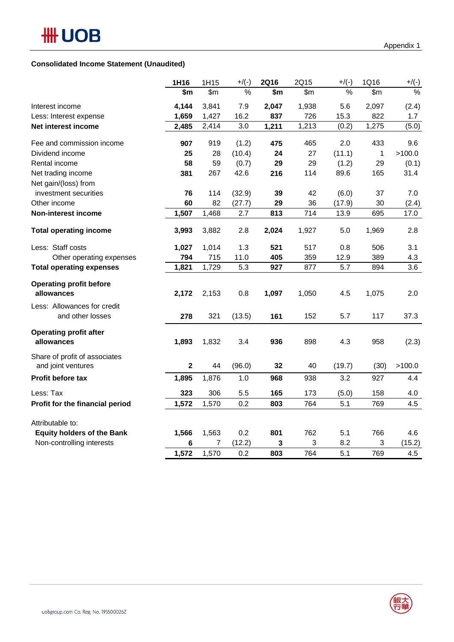### **Consolidated Income Statement (Unaudited)**

|                                   | 1H16         | 1H15  | $+$ /(-) | <b>2Q16</b> | 2Q15  | $+$ /(-) | 1Q16  | $+$ /(-) |
|-----------------------------------|--------------|-------|----------|-------------|-------|----------|-------|----------|
|                                   | \$m          | \$m\$ | $\%$     | \$m         | \$m\$ | $\%$     | \$m\$ | $\%$     |
| Interest income                   | 4,144        | 3,841 | 7.9      | 2,047       | 1,938 | 5.6      | 2,097 | (2.4)    |
| Less: Interest expense            | 1,659        | 1,427 | 16.2     | 837         | 726   | 15.3     | 822   | 1.7      |
| Net interest income               | 2,485        | 2,414 | 3.0      | 1,211       | 1,213 | (0.2)    | 1,275 | (5.0)    |
| Fee and commission income         | 907          | 919   | (1.2)    | 475         | 465   | 2.0      | 433   | 9.6      |
| Dividend income                   | 25           | 28    | (10.4)   | 24          | 27    | (11.1)   | 1     | >100.0   |
| Rental income                     | 58           | 59    | (0.7)    | 29          | 29    | (1.2)    | 29    | (0.1)    |
| Net trading income                | 381          | 267   | 42.6     | 216         | 114   | 89.6     | 165   | 31.4     |
| Net gain/(loss) from              |              |       |          |             |       |          |       |          |
| investment securities             | 76           | 114   | (32.9)   | 39          | 42    | (6.0)    | 37    | 7.0      |
| Other income                      | 60           | 82    | (27.7)   | 29          | 36    | (17.9)   | 30    | (2.4)    |
| Non-interest income               | 1,507        | 1,468 | 2.7      | 813         | 714   | 13.9     | 695   | 17.0     |
| <b>Total operating income</b>     | 3,993        | 3,882 | 2.8      | 2,024       | 1,927 | 5.0      | 1,969 | 2.8      |
| Less: Staff costs                 | 1,027        | 1,014 | 1.3      | 521         | 517   | 0.8      | 506   | 3.1      |
| Other operating expenses          | 794          | 715   | 11.0     | 405         | 359   | 12.9     | 389   | 4.3      |
| <b>Total operating expenses</b>   | 1,821        | 1,729 | 5.3      | 927         | 877   | 5.7      | 894   | 3.6      |
| <b>Operating profit before</b>    |              |       |          |             |       |          |       |          |
| allowances                        | 2,172        | 2,153 | 0.8      | 1,097       | 1,050 | 4.5      | 1,075 | 2.0      |
| Less: Allowances for credit       |              |       |          |             |       |          |       |          |
| and other losses                  | 278          | 321   | (13.5)   | 161         | 152   | 5.7      | 117   | 37.3     |
| <b>Operating profit after</b>     |              |       |          |             |       |          |       |          |
| allowances                        | 1,893        | 1,832 | 3.4      | 936         | 898   | 4.3      | 958   | (2.3)    |
| Share of profit of associates     |              |       |          |             |       |          |       |          |
| and joint ventures                | $\mathbf{2}$ | 44    | (96.0)   | 32          | 40    | (19.7)   | (30)  | >100.0   |
| Profit before tax                 | 1,895        | 1,876 | 1.0      | 968         | 938   | 3.2      | 927   | 4.4      |
| Less: Tax                         | 323          | 306   | 5.5      | 165         | 173   | (5.0)    | 158   | 4.0      |
| Profit for the financial period   | 1,572        | 1,570 | 0.2      | 803         | 764   | 5.1      | 769   | 4.5      |
| Attributable to:                  |              |       |          |             |       |          |       |          |
| <b>Equity holders of the Bank</b> | 1,566        | 1,563 | 0.2      | 801         | 762   | 5.1      | 766   | 4.6      |
| Non-controlling interests         | 6            | 7     | (12.2)   | 3           | 3     | 8.2      | 3     | (15.2)   |
|                                   | 1,572        | 1,570 | 0.2      | 803         | 764   | 5.1      | 769   | 4.5      |
|                                   |              |       |          |             |       |          |       |          |

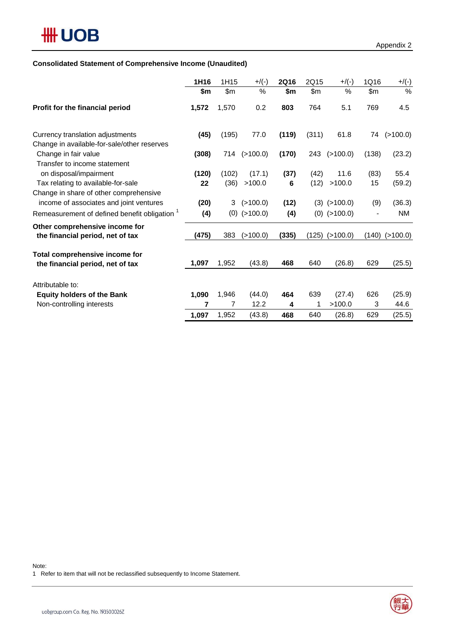# **Consolidated Statement of Comprehensive Income (Unaudited)**

|                                                                                                     | 1H16  | 1H15  | $+$ /(-)       | <b>2Q16</b> | 2Q15  | $+$ /(-)         | 1Q16  | $+$ /(-)           |
|-----------------------------------------------------------------------------------------------------|-------|-------|----------------|-------------|-------|------------------|-------|--------------------|
|                                                                                                     | \$m   | \$m   | %              | \$m         | \$m\$ | $\%$             | \$m\$ | $\%$               |
| Profit for the financial period                                                                     | 1,572 | 1,570 | 0.2            | 803         | 764   | 5.1              | 769   | 4.5                |
| Currency translation adjustments                                                                    | (45)  | (195) | 77.0           | (119)       | (311) | 61.8             | 74    | (>100.0)           |
| Change in available-for-sale/other reserves<br>Change in fair value<br>Transfer to income statement | (308) | 714   | (>100.0)       | (170)       |       | 243 (>100.0)     | (138) | (23.2)             |
| on disposal/impairment                                                                              | (120) | (102) | (17.1)         | (37)        | (42)  | 11.6             | (83)  | 55.4               |
| Tax relating to available-for-sale                                                                  | 22    | (36)  | >100.0         | 6           | (12)  | >100.0           | 15    | (59.2)             |
| Change in share of other comprehensive<br>income of associates and joint ventures                   | (20)  | 3     | (>100.0)       | (12)        |       | $(3)$ $(>100.0)$ | (9)   | (36.3)             |
| Remeasurement of defined benefit obligation <sup>1</sup>                                            | (4)   |       | $(0)$ (>100.0) | (4)         |       | $(0)$ (>100.0)   |       | <b>NM</b>          |
| Other comprehensive income for<br>the financial period, net of tax                                  | (475) | 383   | (>100.0)       | (335)       | (125) | (>100.0)         |       | $(140)$ $(>100.0)$ |
| Total comprehensive income for<br>the financial period, net of tax                                  | 1,097 | 1,952 | (43.8)         | 468         | 640   | (26.8)           | 629   | (25.5)             |
| Attributable to:                                                                                    |       |       |                |             |       |                  |       |                    |
| <b>Equity holders of the Bank</b>                                                                   | 1,090 | 1,946 | (44.0)         | 464         | 639   | (27.4)           | 626   | (25.9)             |
| Non-controlling interests                                                                           | 7     | 7     | 12.2           | 4           | 1     | >100.0           | 3     | 44.6               |
|                                                                                                     | 1,097 | 1,952 | (43.8)         | 468         | 640   | (26.8)           | 629   | (25.5)             |

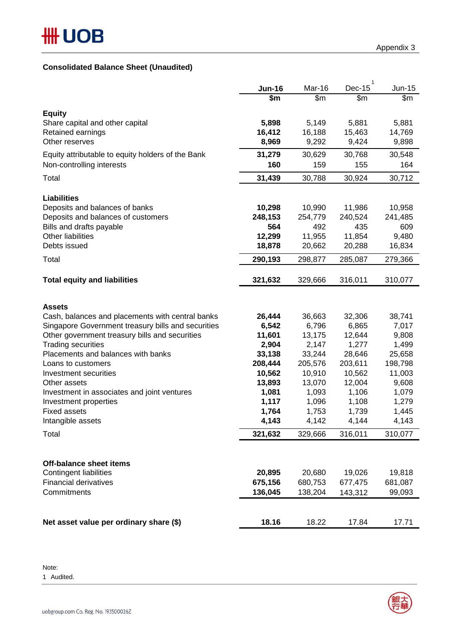## **Consolidated Balance Sheet (Unaudited)**

|                                                                | <b>Jun-16</b>  | Mar-16         | 1<br>Dec-15    | $Jun-15$       |
|----------------------------------------------------------------|----------------|----------------|----------------|----------------|
|                                                                | \$m            | \$m\$          | \$m\$          | \$m            |
| <b>Equity</b>                                                  |                |                |                |                |
| Share capital and other capital                                | 5,898          | 5,149          | 5,881          | 5,881          |
| Retained earnings                                              | 16,412         | 16,188         | 15,463         | 14,769         |
| Other reserves                                                 | 8,969          | 9,292          | 9,424          | 9,898          |
| Equity attributable to equity holders of the Bank              | 31,279         | 30,629         | 30,768         | 30,548         |
| Non-controlling interests                                      | 160            | 159            | 155            | 164            |
| Total                                                          | 31,439         | 30,788         | 30,924         | 30,712         |
|                                                                |                |                |                |                |
| <b>Liabilities</b>                                             |                |                |                |                |
| Deposits and balances of banks                                 | 10,298         | 10,990         | 11,986         | 10,958         |
| Deposits and balances of customers<br>Bills and drafts payable | 248,153<br>564 | 254,779<br>492 | 240,524<br>435 | 241,485<br>609 |
| Other liabilities                                              | 12,299         | 11,955         | 11,854         | 9,480          |
| Debts issued                                                   | 18,878         | 20,662         | 20,288         | 16,834         |
| Total                                                          | 290,193        | 298,877        | 285,087        | 279,366        |
|                                                                |                |                |                |                |
| <b>Total equity and liabilities</b>                            | 321,632        | 329,666        | 316,011        | 310,077        |
|                                                                |                |                |                |                |
| <b>Assets</b>                                                  |                |                |                |                |
| Cash, balances and placements with central banks               | 26,444         | 36,663         | 32,306         | 38,741         |
| Singapore Government treasury bills and securities             | 6,542          | 6,796          | 6,865          | 7,017          |
| Other government treasury bills and securities                 | 11,601         | 13,175         | 12,644         | 9,808          |
| <b>Trading securities</b>                                      | 2,904          | 2,147          | 1,277          | 1,499          |
| Placements and balances with banks                             | 33,138         | 33,244         | 28,646         | 25,658         |
| Loans to customers                                             | 208,444        | 205,576        | 203,611        | 198,798        |
| Investment securities                                          | 10,562         | 10,910         | 10,562         | 11,003         |
| Other assets                                                   | 13,893         | 13,070         | 12,004         | 9,608          |
| Investment in associates and joint ventures                    | 1,081          | 1,093          | 1,106          | 1,079          |
| Investment properties                                          | 1,117          | 1,096          | 1,108          | 1,279          |
| <b>Fixed assets</b>                                            | 1,764          | 1,753          | 1,739          | 1,445          |
| Intangible assets                                              | 4,143          | 4,142          | 4,144          | 4,143          |
| Total                                                          | 321,632        | 329,666        | 316,011        | 310,077        |
|                                                                |                |                |                |                |
| <b>Off-balance sheet items</b>                                 |                |                |                |                |
| Contingent liabilities                                         | 20,895         | 20,680         | 19,026         | 19,818         |
| <b>Financial derivatives</b>                                   | 675,156        | 680,753        | 677,475        | 681,087        |
| Commitments                                                    | 136,045        | 138,204        | 143,312        | 99,093         |
|                                                                |                |                |                |                |
| Net asset value per ordinary share (\$)                        | 18.16          | 18.22          | 17.84          | 17.71          |

Note: 1 Audited.

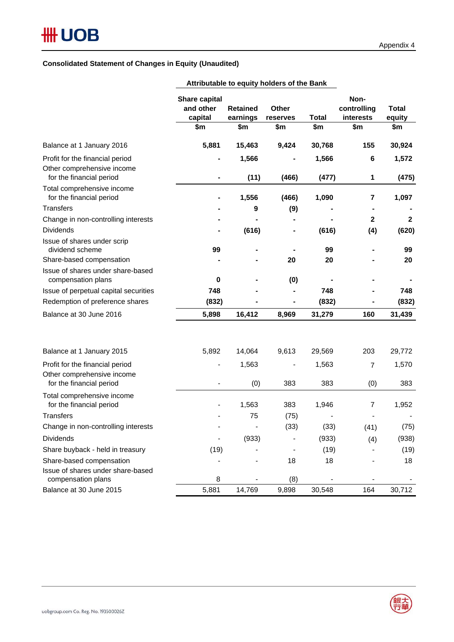### **Consolidated Statement of Changes in Equity (Unaudited)**

|                                                                                    | Share capital<br>and other<br>capital<br>\$m | <b>Retained</b><br>earnings<br>\$m | Other<br>reserves<br>\$m | <b>Total</b><br>\$m | Non-<br>controlling<br>interests<br>\$m | <b>Total</b><br>equity<br>\$m |
|------------------------------------------------------------------------------------|----------------------------------------------|------------------------------------|--------------------------|---------------------|-----------------------------------------|-------------------------------|
| Balance at 1 January 2016                                                          | 5,881                                        | 15,463                             | 9,424                    | 30,768              | 155                                     | 30,924                        |
| Profit for the financial period<br>Other comprehensive income                      | ÷                                            | 1,566                              |                          | 1,566               | 6                                       | 1,572                         |
| for the financial period<br>Total comprehensive income<br>for the financial period | ۰                                            | (11)<br>1,556                      | (466)<br>(466)           | (477)<br>1,090      | 1<br>7                                  | (475)<br>1,097                |
| <b>Transfers</b>                                                                   |                                              | 9                                  | (9)                      |                     |                                         |                               |
|                                                                                    |                                              |                                    |                          |                     |                                         | $\mathbf{2}$                  |
| Change in non-controlling interests<br><b>Dividends</b>                            |                                              | (616)                              |                          | (616)               | $\mathbf{2}$<br>(4)                     | (620)                         |
| Issue of shares under scrip<br>dividend scheme<br>Share-based compensation         | 99                                           |                                    | 20                       | 99<br>20            |                                         | 99<br>20                      |
| Issue of shares under share-based<br>compensation plans                            | $\bf{0}$                                     |                                    | (0)                      |                     |                                         |                               |
| Issue of perpetual capital securities                                              | 748                                          |                                    |                          | 748                 |                                         | 748                           |
| Redemption of preference shares                                                    | (832)                                        |                                    | -                        | (832)               |                                         | (832)                         |
| Balance at 30 June 2016                                                            | 5,898                                        | 16,412                             | 8,969                    | 31,279              | 160                                     | 31,439                        |
| Balance at 1 January 2015                                                          | 5,892                                        | 14,064                             | 9,613                    | 29,569              | 203                                     | 29,772                        |
| Profit for the financial period                                                    | $\blacksquare$                               | 1,563                              |                          | 1,563               |                                         | 1,570                         |
| Other comprehensive income<br>for the financial period                             | $\overline{a}$                               | (0)                                | 383                      | 383                 | 7                                       | 383                           |
| Total comprehensive income<br>for the financial period                             |                                              | 1,563                              | 383                      | 1,946               | (0)<br>7                                | 1,952                         |
| <b>Transfers</b>                                                                   |                                              | 75                                 | (75)                     |                     |                                         |                               |
| Change in non-controlling interests                                                |                                              |                                    | (33)                     | (33)                | (41)                                    | (75)                          |
| <b>Dividends</b>                                                                   | $\qquad \qquad \blacksquare$                 | (933)                              |                          | (933)               | (4)                                     | (938)                         |
| Share buyback - held in treasury                                                   | (19)                                         |                                    |                          | (19)                |                                         | (19)                          |
| Share-based compensation                                                           |                                              |                                    | 18                       | 18                  |                                         | 18                            |
| Issue of shares under share-based<br>compensation plans                            | 8                                            |                                    | (8)                      |                     | $\qquad \qquad \blacksquare$            |                               |
| Balance at 30 June 2015                                                            | 5,881                                        | 14,769                             | 9,898                    | 30,548              | 164                                     | 30,712                        |

**Attributable to equity holders of the Bank**

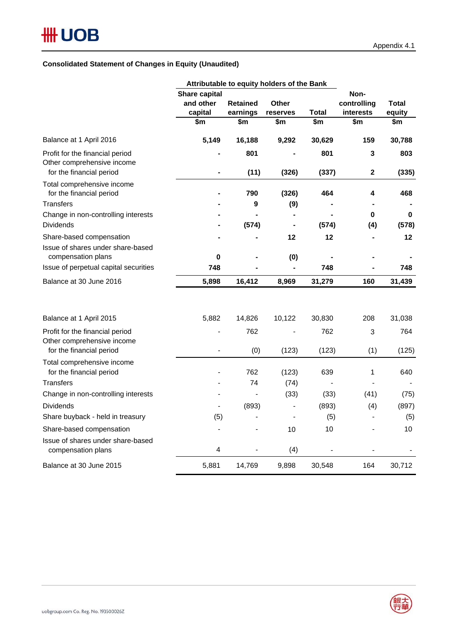### **Consolidated Statement of Changes in Equity (Unaudited)**

|                                                                                           | Attributable to equity holders of the Bank |                              |                   |              |                                  |                 |
|-------------------------------------------------------------------------------------------|--------------------------------------------|------------------------------|-------------------|--------------|----------------------------------|-----------------|
|                                                                                           | Share capital<br>and other<br>capital      | <b>Retained</b><br>earnings  | Other<br>reserves | Total        | Non-<br>controlling<br>interests | Total<br>equity |
|                                                                                           | \$m                                        | \$m                          | \$m               | \$m          | \$m                              | \$m             |
| Balance at 1 April 2016                                                                   | 5,149                                      | 16,188                       | 9,292             | 30,629       | 159                              | 30,788          |
| Profit for the financial period<br>Other comprehensive income<br>for the financial period | ٠                                          | 801<br>(11)                  | (326)             | 801<br>(337) | 3<br>$\mathbf{2}$                | 803<br>(335)    |
| Total comprehensive income<br>for the financial period                                    |                                            | 790                          | (326)             | 464          | 4                                | 468             |
| <b>Transfers</b>                                                                          |                                            | 9                            | (9)               |              |                                  |                 |
| Change in non-controlling interests<br><b>Dividends</b>                                   |                                            | (574)                        | $\blacksquare$    | (574)        | 0<br>(4)                         | 0<br>(578)      |
| Share-based compensation<br>Issue of shares under share-based                             |                                            |                              | 12                | 12           |                                  | 12              |
| compensation plans                                                                        | 0                                          |                              | (0)               |              |                                  |                 |
| Issue of perpetual capital securities                                                     | 748                                        |                              | ۰                 | 748          |                                  | 748             |
| Balance at 30 June 2016                                                                   | 5,898                                      | 16,412                       | 8,969             | 31,279       | 160                              | 31,439          |
| Balance at 1 April 2015                                                                   | 5,882                                      | 14,826                       | 10,122            | 30,830       | 208                              | 31,038          |
| Profit for the financial period<br>Other comprehensive income                             |                                            | 762                          |                   | 762          | 3                                | 764             |
| for the financial period                                                                  | $\overline{a}$                             | (0)                          | (123)             | (123)        | (1)                              | (125)           |
| Total comprehensive income<br>for the financial period                                    |                                            | 762                          | (123)             | 639          | 1                                | 640             |
| <b>Transfers</b>                                                                          |                                            | 74                           | (74)              |              |                                  |                 |
| Change in non-controlling interests                                                       |                                            | $\qquad \qquad \blacksquare$ | (33)              | (33)         | (41)                             | (75)            |
| <b>Dividends</b>                                                                          |                                            | (893)                        |                   | (893)        | (4)                              | (897)           |
| Share buyback - held in treasury                                                          | (5)                                        |                              | $\overline{a}$    | (5)          |                                  | (5)             |
| Share-based compensation                                                                  |                                            |                              | 10                | 10           |                                  | 10              |
| Issue of shares under share-based<br>compensation plans                                   | 4                                          |                              | (4)               |              |                                  |                 |
| Balance at 30 June 2015                                                                   | 5,881                                      | 14,769                       | 9,898             | 30,548       | 164                              | 30,712          |

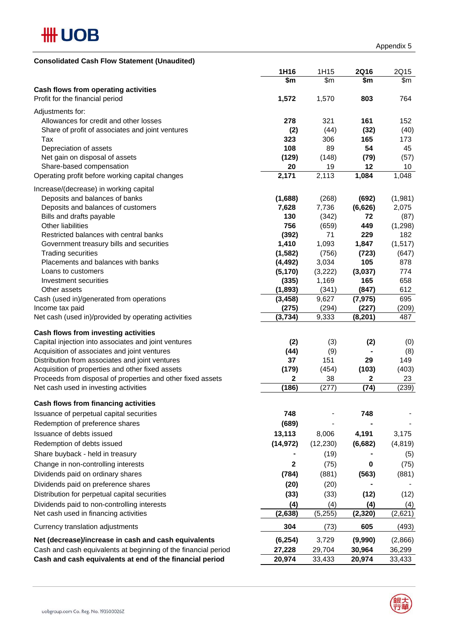

| <b>Consolidated Cash Flow Statement (Unaudited)</b>                                                 |                     |                |                   |            |
|-----------------------------------------------------------------------------------------------------|---------------------|----------------|-------------------|------------|
|                                                                                                     | 1H16                | 1H15           | <b>2Q16</b>       | 2Q15       |
|                                                                                                     | \$m                 | \$m            | \$m               | \$m        |
| Cash flows from operating activities                                                                |                     |                |                   |            |
| Profit for the financial period                                                                     | 1,572               | 1,570          | 803               | 764        |
| Adjustments for:                                                                                    |                     |                |                   |            |
| Allowances for credit and other losses                                                              | 278                 | 321            | 161               | 152        |
| Share of profit of associates and joint ventures                                                    | (2)                 | (44)           | (32)              | (40)       |
| Tax                                                                                                 | 323                 | 306            | 165               | 173        |
| Depreciation of assets                                                                              | 108                 | 89             | 54                | 45         |
| Net gain on disposal of assets                                                                      | (129)               | (148)          | (79)              | (57)       |
| Share-based compensation                                                                            | 20                  | 19             | 12                | 10         |
| Operating profit before working capital changes                                                     | 2,171               | 2,113          | 1,084             | 1,048      |
| Increase/(decrease) in working capital                                                              |                     |                |                   |            |
| Deposits and balances of banks                                                                      | (1,688)             | (268)          | (692)             | (1,981)    |
| Deposits and balances of customers                                                                  | 7,628               | 7,736          | (6,626)           | 2,075      |
| Bills and drafts payable                                                                            | 130                 | (342)          | 72                | (87)       |
| <b>Other liabilities</b>                                                                            | 756                 | (659)          | 449               | (1, 298)   |
| Restricted balances with central banks                                                              | (392)               | 71             | 229               | 182        |
| Government treasury bills and securities                                                            | 1,410               | 1,093          | 1,847             | (1, 517)   |
| <b>Trading securities</b>                                                                           | (1, 582)            | (756)          | (723)             | (647)      |
| Placements and balances with banks                                                                  | (4, 492)            | 3,034          | 105               | 878        |
| Loans to customers                                                                                  | (5, 170)            | (3,222)        | (3,037)           | 774        |
| Investment securities<br>Other assets                                                               | (335)               | 1,169          | 165               | 658        |
| Cash (used in)/generated from operations                                                            | (1,893)<br>(3, 458) | (341)<br>9,627 | (847)<br>(7, 975) | 612<br>695 |
| Income tax paid                                                                                     | (275)               | (294)          | (227)             | (209)      |
| Net cash (used in)/provided by operating activities                                                 | (3,734)             | 9,333          | (8, 201)          | 487        |
|                                                                                                     |                     |                |                   |            |
| Cash flows from investing activities                                                                |                     |                |                   |            |
| Capital injection into associates and joint ventures                                                | (2)                 | (3)            | (2)               | (0)        |
| Acquisition of associates and joint ventures                                                        | (44)<br>37          | (9)<br>151     | 29                | (8)<br>149 |
| Distribution from associates and joint ventures<br>Acquisition of properties and other fixed assets | (179)               | (454)          | (103)             | (403)      |
| Proceeds from disposal of properties and other fixed assets                                         | $\mathbf 2$         | 38             | $\mathbf{2}$      | 23         |
| Net cash used in investing activities                                                               | (186)               | (277)          | (74)              | (239)      |
|                                                                                                     |                     |                |                   |            |
| Cash flows from financing activities                                                                |                     |                |                   |            |
| Issuance of perpetual capital securities                                                            | 748                 |                | 748               |            |
| Redemption of preference shares                                                                     | (689)               |                |                   |            |
| Issuance of debts issued                                                                            | 13,113              | 8,006          | 4,191             | 3,175      |
| Redemption of debts issued                                                                          | (14, 972)           | (12, 230)      | (6,682)           | (4, 819)   |
| Share buyback - held in treasury                                                                    |                     | (19)           |                   | (5)        |
| Change in non-controlling interests                                                                 | $\mathbf{2}$        | (75)           | 0                 | (75)       |
| Dividends paid on ordinary shares                                                                   | (784)               | (881)          | (563)             | (881)      |
| Dividends paid on preference shares                                                                 | (20)                | (20)           |                   |            |
| Distribution for perpetual capital securities                                                       | (33)                | (33)           | (12)              | (12)       |
| Dividends paid to non-controlling interests                                                         | (4)                 | (4)            | (4)               | (4)        |
| Net cash used in financing activities                                                               | (2,638)             | (5, 255)       | (2, 320)          | (2,621)    |
| Currency translation adjustments                                                                    | 304                 | (73)           | 605               | (493)      |
| Net (decrease)/increase in cash and cash equivalents                                                | (6, 254)            | 3,729          | (9,990)           | (2,866)    |
| Cash and cash equivalents at beginning of the financial period                                      | 27,228              | 29,704         | 30,964            | 36,299     |
| Cash and cash equivalents at end of the financial period                                            | 20,974              | 33,433         | 20,974            | 33,433     |
|                                                                                                     |                     |                |                   |            |

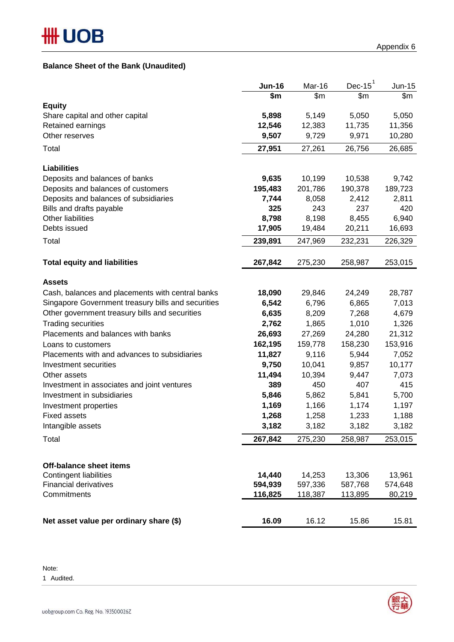## **Balance Sheet of the Bank (Unaudited)**

|                                                    | <b>Jun-16</b> | Mar-16  | $Dec-15^1$ | $Jun-15$ |
|----------------------------------------------------|---------------|---------|------------|----------|
|                                                    | \$m           | \$m     | \$m        | \$m      |
| <b>Equity</b>                                      |               |         |            |          |
| Share capital and other capital                    | 5,898         | 5,149   | 5,050      | 5,050    |
| Retained earnings                                  | 12,546        | 12,383  | 11,735     | 11,356   |
| Other reserves                                     | 9,507         | 9,729   | 9,971      | 10,280   |
| Total                                              | 27,951        | 27,261  | 26,756     | 26,685   |
| <b>Liabilities</b>                                 |               |         |            |          |
| Deposits and balances of banks                     | 9,635         | 10,199  | 10,538     | 9,742    |
| Deposits and balances of customers                 | 195,483       | 201,786 | 190,378    | 189,723  |
| Deposits and balances of subsidiaries              | 7,744         | 8,058   | 2,412      | 2,811    |
| Bills and drafts payable                           | 325           | 243     | 237        | 420      |
| Other liabilities                                  | 8,798         | 8,198   | 8,455      | 6,940    |
| Debts issued                                       | 17,905        | 19,484  | 20,211     | 16,693   |
| Total                                              | 239,891       | 247,969 | 232,231    | 226,329  |
|                                                    |               |         |            |          |
| <b>Total equity and liabilities</b>                | 267,842       | 275,230 | 258,987    | 253,015  |
| <b>Assets</b>                                      |               |         |            |          |
| Cash, balances and placements with central banks   | 18,090        | 29,846  | 24,249     | 28,787   |
| Singapore Government treasury bills and securities | 6,542         | 6,796   | 6,865      | 7,013    |
| Other government treasury bills and securities     | 6,635         | 8,209   | 7,268      | 4,679    |
| <b>Trading securities</b>                          | 2,762         | 1,865   | 1,010      | 1,326    |
| Placements and balances with banks                 | 26,693        | 27,269  | 24,280     | 21,312   |
| Loans to customers                                 | 162,195       | 159,778 | 158,230    | 153,916  |
| Placements with and advances to subsidiaries       | 11,827        | 9,116   | 5,944      | 7,052    |
| Investment securities                              | 9,750         | 10,041  | 9,857      | 10,177   |
| Other assets                                       | 11,494        | 10,394  | 9,447      | 7,073    |
| Investment in associates and joint ventures        | 389           | 450     | 407        | 415      |
| Investment in subsidiaries                         | 5,846         | 5,862   | 5,841      | 5,700    |
| Investment properties                              | 1,169         | 1,166   | 1,174      | 1,197    |
| <b>Fixed assets</b>                                | 1,268         | 1,258   | 1,233      | 1,188    |
| Intangible assets                                  | 3,182         | 3,182   | 3,182      | 3,182    |
| Total                                              | 267,842       | 275,230 | 258,987    | 253,015  |
|                                                    |               |         |            |          |
| <b>Off-balance sheet items</b>                     |               |         |            |          |
| Contingent liabilities                             | 14,440        | 14,253  | 13,306     | 13,961   |
| <b>Financial derivatives</b>                       | 594,939       | 597,336 | 587,768    | 574,648  |
| Commitments                                        | 116,825       | 118,387 | 113,895    | 80,219   |
| Net asset value per ordinary share (\$)            | 16.09         | 16.12   | 15.86      | 15.81    |
|                                                    |               |         |            |          |

Note:

1 Audited.

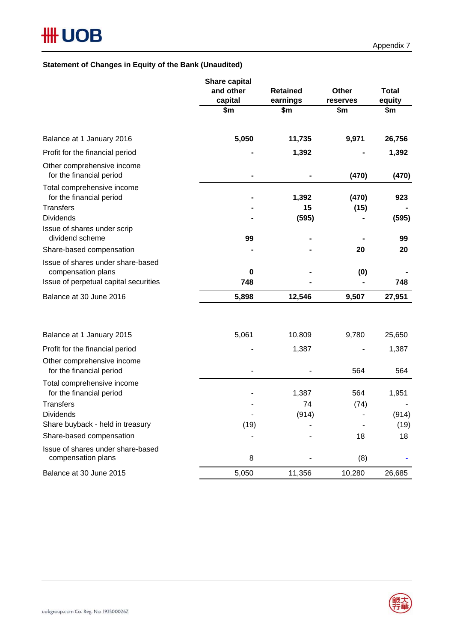### **Statement of Changes in Equity of the Bank (Unaudited)**

|                                                                            | <b>Share capital</b><br>and other<br>capital | <b>Retained</b><br>earnings | <b>Other</b><br>reserves | <b>Total</b><br>equity |
|----------------------------------------------------------------------------|----------------------------------------------|-----------------------------|--------------------------|------------------------|
|                                                                            | \$m                                          | \$m                         | \$m                      | \$m                    |
| Balance at 1 January 2016                                                  | 5,050                                        | 11,735                      | 9,971                    | 26,756                 |
| Profit for the financial period                                            |                                              | 1,392                       |                          | 1,392                  |
| Other comprehensive income<br>for the financial period                     |                                              |                             | (470)                    | (470)                  |
| Total comprehensive income<br>for the financial period<br><b>Transfers</b> |                                              | 1,392<br>15                 | (470)<br>(15)            | 923                    |
| <b>Dividends</b>                                                           |                                              | (595)                       |                          | (595)                  |
| Issue of shares under scrip<br>dividend scheme                             | 99                                           |                             |                          | 99                     |
| Share-based compensation                                                   |                                              |                             | 20                       | 20                     |
| Issue of shares under share-based<br>compensation plans                    | 0<br>748                                     |                             | (0)                      |                        |
| Issue of perpetual capital securities                                      |                                              |                             |                          | 748                    |
| Balance at 30 June 2016                                                    | 5,898                                        | 12,546                      | 9,507                    | 27,951                 |
| Balance at 1 January 2015                                                  | 5,061                                        | 10,809                      | 9,780                    | 25,650                 |
| Profit for the financial period                                            |                                              | 1,387                       |                          | 1,387                  |
| Other comprehensive income<br>for the financial period                     |                                              |                             | 564                      | 564                    |
| Total comprehensive income<br>for the financial period                     |                                              | 1,387                       | 564                      | 1,951                  |
| <b>Transfers</b>                                                           |                                              | 74                          | (74)                     |                        |
| <b>Dividends</b><br>Share buyback - held in treasury                       |                                              | (914)                       |                          | (914)                  |
| Share-based compensation                                                   | (19)                                         |                             | 18                       | (19)                   |
|                                                                            |                                              |                             |                          | 18                     |
| Issue of shares under share-based<br>compensation plans                    | 8                                            |                             | (8)                      |                        |
| Balance at 30 June 2015                                                    | 5,050                                        | 11,356                      | 10,280                   | 26,685                 |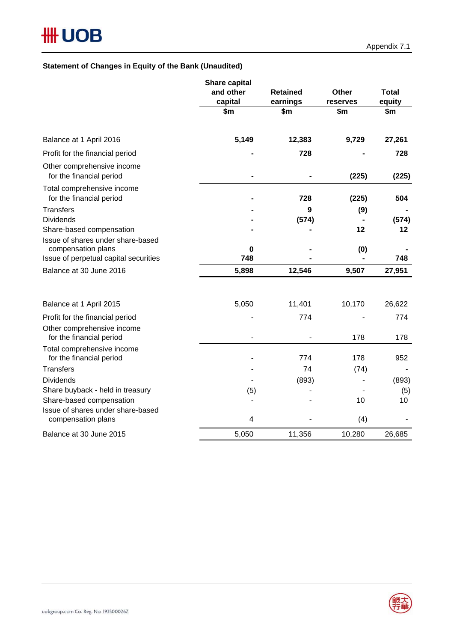# **Statement of Changes in Equity of the Bank (Unaudited)**

|                                                                                                  | <b>Share capital</b> |                 |          |              |
|--------------------------------------------------------------------------------------------------|----------------------|-----------------|----------|--------------|
|                                                                                                  | and other            | <b>Retained</b> | Other    | <b>Total</b> |
|                                                                                                  | capital              | earnings        | reserves | equity       |
|                                                                                                  | \$m                  | \$m             | \$m      | \$m\$        |
| Balance at 1 April 2016                                                                          | 5,149                | 12,383          | 9,729    | 27,261       |
| Profit for the financial period                                                                  |                      | 728             |          | 728          |
| Other comprehensive income<br>for the financial period                                           |                      |                 | (225)    | (225)        |
| Total comprehensive income<br>for the financial period                                           |                      | 728             | (225)    | 504          |
| <b>Transfers</b>                                                                                 |                      | 9               | (9)      |              |
| <b>Dividends</b>                                                                                 |                      | (574)           |          | (574)        |
| Share-based compensation                                                                         |                      |                 | 12       | 12           |
| Issue of shares under share-based<br>compensation plans<br>Issue of perpetual capital securities | 0<br>748             |                 | (0)      | 748          |
| Balance at 30 June 2016                                                                          |                      |                 | 9,507    |              |
|                                                                                                  | 5,898                | 12,546          |          | 27,951       |
| Balance at 1 April 2015                                                                          | 5,050                | 11,401          | 10,170   | 26,622       |
| Profit for the financial period                                                                  |                      | 774             |          | 774          |
| Other comprehensive income<br>for the financial period                                           |                      |                 | 178      | 178          |
| Total comprehensive income<br>for the financial period                                           |                      | 774             | 178      | 952          |
| <b>Transfers</b>                                                                                 |                      | 74              | (74)     |              |
| <b>Dividends</b>                                                                                 |                      | (893)           |          | (893)        |
| Share buyback - held in treasury                                                                 | (5)                  |                 |          | (5)          |
| Share-based compensation                                                                         |                      |                 | 10       | 10           |
| Issue of shares under share-based<br>compensation plans                                          | 4                    |                 | (4)      |              |
| Balance at 30 June 2015                                                                          | 5,050                | 11,356          | 10,280   | 26,685       |